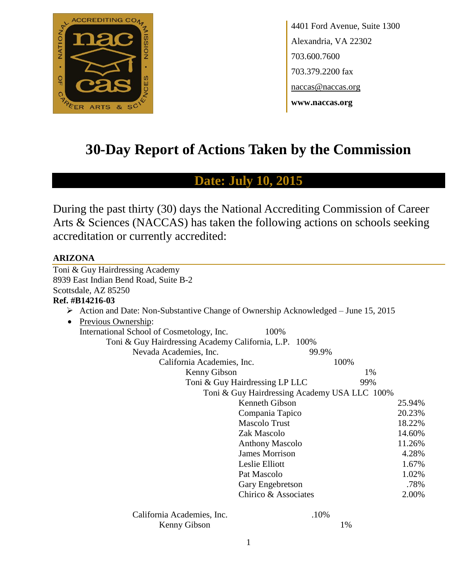

4401 Ford Avenue, Suite 1300 Alexandria, VA 22302 703.600.7600 703.379.2200 fax naccas@naccas.org **www.naccas.org**

# **30-Day Report of Actions Taken by the Commission**

# **Date: July 10, 2015**

During the past thirty (30) days the National Accrediting Commission of Career Arts & Sciences (NACCAS) has taken the following actions on schools seeking accreditation or currently accredited:

#### **ARIZONA**

| Toni & Guy Hairdressing Academy                                                                    |                                              |        |
|----------------------------------------------------------------------------------------------------|----------------------------------------------|--------|
| 8939 East Indian Bend Road, Suite B-2                                                              |                                              |        |
| Scottsdale, AZ 85250                                                                               |                                              |        |
| Ref. #B14216-03                                                                                    |                                              |        |
| $\triangleright$ Action and Date: Non-Substantive Change of Ownership Acknowledged – June 15, 2015 |                                              |        |
| Previous Ownership:<br>$\bullet$                                                                   |                                              |        |
| International School of Cosmetology, Inc.                                                          | 100%                                         |        |
| Toni & Guy Hairdressing Academy California, L.P. 100%                                              |                                              |        |
| Nevada Academies, Inc.                                                                             | 99.9%                                        |        |
| California Academies, Inc.                                                                         |                                              | 100%   |
| Kenny Gibson                                                                                       |                                              | 1%     |
|                                                                                                    | Toni & Guy Hairdressing LP LLC               | 99%    |
|                                                                                                    | Toni & Guy Hairdressing Academy USA LLC 100% |        |
|                                                                                                    | Kenneth Gibson                               | 25.94% |
|                                                                                                    | Compania Tapico                              | 20.23% |
|                                                                                                    | <b>Mascolo Trust</b>                         | 18.22% |
|                                                                                                    | Zak Mascolo                                  | 14.60% |
|                                                                                                    | <b>Anthony Mascolo</b>                       | 11.26% |
|                                                                                                    | <b>James Morrison</b>                        | 4.28%  |
|                                                                                                    | Leslie Elliott                               | 1.67%  |
|                                                                                                    | Pat Mascolo                                  | 1.02%  |
|                                                                                                    | Gary Engebretson                             | .78%   |
|                                                                                                    | Chirico & Associates                         | 2.00%  |
| California Academies, Inc.                                                                         | .10%                                         |        |
| Kenny Gibson                                                                                       |                                              | 1%     |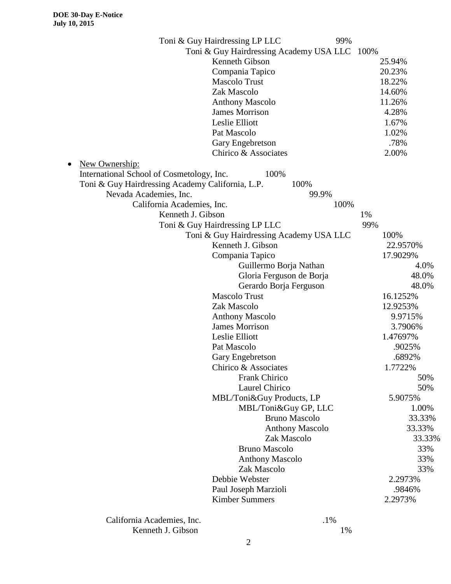|           | Toni & Guy Hairdressing LP LLC<br>99%                    |          |
|-----------|----------------------------------------------------------|----------|
|           | Toni & Guy Hairdressing Academy USA LLC 100%             |          |
|           | Kenneth Gibson                                           | 25.94%   |
|           | Compania Tapico                                          | 20.23%   |
|           | <b>Mascolo Trust</b>                                     | 18.22%   |
|           | Zak Mascolo                                              | 14.60%   |
|           | <b>Anthony Mascolo</b>                                   | 11.26%   |
|           | <b>James Morrison</b>                                    | 4.28%    |
|           | Leslie Elliott                                           | 1.67%    |
|           | Pat Mascolo                                              | 1.02%    |
|           | Gary Engebretson                                         | .78%     |
|           | Chirico & Associates                                     | 2.00%    |
| $\bullet$ | New Ownership:                                           |          |
|           | International School of Cosmetology, Inc.<br>100%        |          |
|           | Toni & Guy Hairdressing Academy California, L.P.<br>100% |          |
|           | Nevada Academies, Inc.<br>99.9%                          |          |
|           | California Academies, Inc.<br>100%                       |          |
|           | Kenneth J. Gibson                                        | 1%       |
|           | Toni & Guy Hairdressing LP LLC                           | 99%      |
|           | Toni & Guy Hairdressing Academy USA LLC                  | 100%     |
|           | Kenneth J. Gibson                                        | 22.9570% |
|           | Compania Tapico                                          | 17.9029% |
|           | Guillermo Borja Nathan                                   | 4.0%     |
|           | Gloria Ferguson de Borja                                 | 48.0%    |
|           | Gerardo Borja Ferguson                                   | 48.0%    |
|           | <b>Mascolo Trust</b>                                     | 16.1252% |
|           | Zak Mascolo                                              | 12.9253% |
|           | <b>Anthony Mascolo</b>                                   | 9.9715%  |
|           | <b>James Morrison</b>                                    | 3.7906%  |
|           | Leslie Elliott                                           | 1.47697% |
|           | Pat Mascolo                                              | .9025%   |
|           | Gary Engebretson                                         | .6892%   |
|           | Chirico & Associates                                     | 1.7722%  |
|           | <b>Frank Chirico</b>                                     | 50%      |
|           | <b>Laurel Chirico</b>                                    | 50%      |
|           | MBL/Toni&Guy Products, LP                                | 5.9075%  |
|           | MBL/Toni&Guy GP, LLC                                     | 1.00%    |
|           | <b>Bruno Mascolo</b>                                     | 33.33%   |
|           | <b>Anthony Mascolo</b>                                   | 33.33%   |
|           | Zak Mascolo                                              | 33.33%   |
|           | <b>Bruno Mascolo</b>                                     | 33%      |
|           | <b>Anthony Mascolo</b>                                   | 33%      |
|           | Zak Mascolo                                              | 33%      |
|           | Debbie Webster                                           | 2.2973%  |
|           | Paul Joseph Marzioli                                     | .9846%   |
|           | <b>Kimber Summers</b>                                    | 2.2973%  |
|           |                                                          |          |

California Academies, Inc. 1% Kenneth J. Gibson 1%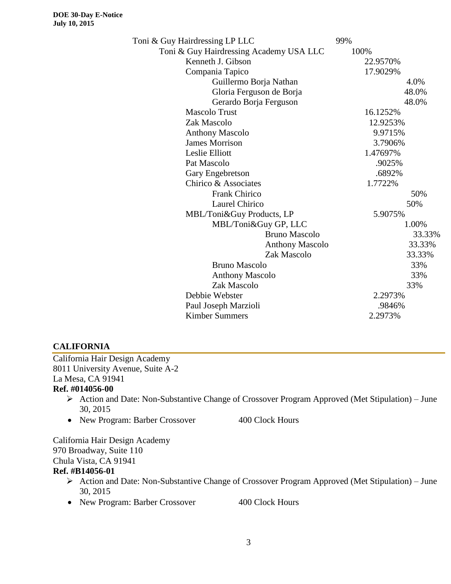| Toni & Guy Hairdressing LP LLC          | 99%      |
|-----------------------------------------|----------|
| Toni & Guy Hairdressing Academy USA LLC | 100%     |
| Kenneth J. Gibson                       | 22.9570% |
| Compania Tapico                         | 17.9029% |
| Guillermo Borja Nathan                  | 4.0%     |
| Gloria Ferguson de Borja                | 48.0%    |
| Gerardo Borja Ferguson                  | 48.0%    |
| <b>Mascolo Trust</b>                    | 16.1252% |
| Zak Mascolo                             | 12.9253% |
| <b>Anthony Mascolo</b>                  | 9.9715%  |
| <b>James Morrison</b>                   | 3.7906%  |
| Leslie Elliott                          | 1.47697% |
| Pat Mascolo                             | .9025%   |
| Gary Engebretson                        | .6892%   |
| Chirico & Associates                    | 1.7722%  |
| <b>Frank Chirico</b>                    | 50%      |
| Laurel Chirico                          | 50%      |
| MBL/Toni&Guy Products, LP               | 5.9075%  |
| MBL/Toni&Guy GP, LLC                    | 1.00%    |
| <b>Bruno Mascolo</b>                    | 33.33%   |
| <b>Anthony Mascolo</b>                  | 33.33%   |
| Zak Mascolo                             | 33.33%   |
| <b>Bruno Mascolo</b>                    | 33%      |
| Anthony Mascolo                         | 33%      |
| Zak Mascolo                             | 33%      |
| Debbie Webster                          | 2.2973%  |
| Paul Joseph Marzioli                    | .9846%   |
| <b>Kimber Summers</b>                   | 2.2973%  |
|                                         |          |

#### **CALIFORNIA**

California Hair Design Academy 8011 University Avenue, Suite A-2

# La Mesa, CA 91941

#### **Ref. #014056-00**

- Action and Date: Non-Substantive Change of Crossover Program Approved (Met Stipulation) June 30, 2015
- New Program: Barber Crossover 400 Clock Hours

California Hair Design Academy 970 Broadway, Suite 110 Chula Vista, CA 91941 **Ref. #B14056-01**

- Action and Date: Non-Substantive Change of Crossover Program Approved (Met Stipulation) June 30, 2015
- New Program: Barber Crossover 400 Clock Hours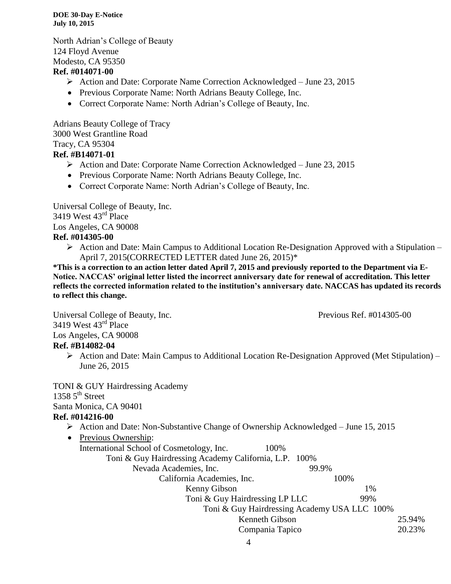North Adrian's College of Beauty 124 Floyd Avenue Modesto, CA 95350

#### **Ref. #014071-00**

- Action and Date: Corporate Name Correction Acknowledged June 23, 2015
- Previous Corporate Name: North Adrians Beauty College, Inc.
- Correct Corporate Name: North Adrian's College of Beauty, Inc.

Adrians Beauty College of Tracy 3000 West Grantline Road Tracy, CA 95304 **Ref. #B14071-01**

- $\triangleright$  Action and Date: Corporate Name Correction Acknowledged June 23, 2015
- Previous Corporate Name: North Adrians Beauty College, Inc.
- Correct Corporate Name: North Adrian's College of Beauty, Inc.

Universal College of Beauty, Inc. 3419 West 43<sup>rd</sup> Place Los Angeles, CA 90008 **Ref. #014305-00**

> $\triangleright$  Action and Date: Main Campus to Additional Location Re-Designation Approved with a Stipulation – April 7, 2015(CORRECTED LETTER dated June 26, 2015)\*

**\*This is a correction to an action letter dated April 7, 2015 and previously reported to the Department via E-Notice. NACCAS' original letter listed the incorrect anniversary date for renewal of accreditation. This letter reflects the corrected information related to the institution's anniversary date. NACCAS has updated its records to reflect this change.**

Universal College of Beauty, Inc. Previous Ref. #014305-00 3419 West  $43<sup>rd</sup>$  Place Los Angeles, CA 90008 **Ref. #B14082-04**

 $\triangleright$  Action and Date: Main Campus to Additional Location Re-Designation Approved (Met Stipulation) – June 26, 2015

TONI & GUY Hairdressing Academy 1358  $5<sup>th</sup>$  Street Santa Monica, CA 90401 **Ref. #014216-00**

- Action and Date: Non-Substantive Change of Ownership Acknowledged June 15, 2015
- Previous Ownership: International School of Cosmetology, Inc. 100% Toni & Guy Hairdressing Academy California, L.P. 100% Nevada Academies, Inc. 99.9% California Academies, Inc. 100% Kenny Gibson 1% Toni & Guy Hairdressing LP LLC 99% Toni & Guy Hairdressing Academy USA LLC 100% Kenneth Gibson 25.94% Compania Tapico 20.23%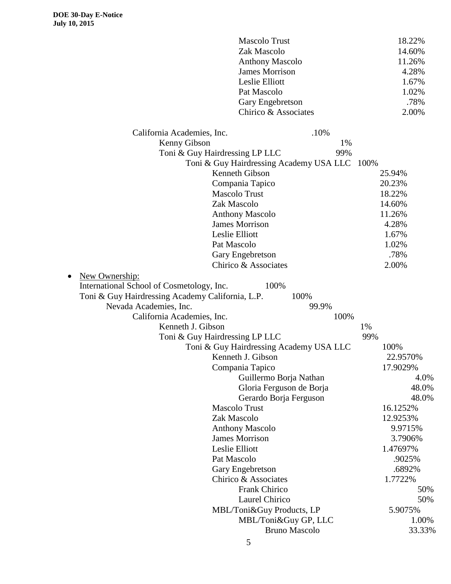|           | <b>Mascolo Trust</b>                                                      | 18.22%         |
|-----------|---------------------------------------------------------------------------|----------------|
|           | Zak Mascolo                                                               | 14.60%         |
|           | <b>Anthony Mascolo</b>                                                    | 11.26%         |
|           | <b>James Morrison</b>                                                     | 4.28%          |
|           | Leslie Elliott                                                            | 1.67%          |
|           | Pat Mascolo                                                               | 1.02%          |
|           | Gary Engebretson                                                          | .78%           |
|           | Chirico & Associates                                                      | 2.00%          |
|           |                                                                           |                |
|           | California Academies, Inc.<br>.10%<br>1%                                  |                |
|           | Kenny Gibson<br>99%                                                       |                |
|           | Toni & Guy Hairdressing LP LLC<br>Toni & Guy Hairdressing Academy USA LLC |                |
|           | Kenneth Gibson                                                            | 100%<br>25.94% |
|           | Compania Tapico                                                           | 20.23%         |
|           | <b>Mascolo Trust</b>                                                      | 18.22%         |
|           | Zak Mascolo                                                               | 14.60%         |
|           | <b>Anthony Mascolo</b>                                                    | 11.26%         |
|           | <b>James Morrison</b>                                                     | 4.28%          |
|           | Leslie Elliott                                                            | 1.67%          |
|           | Pat Mascolo                                                               | 1.02%          |
|           | Gary Engebretson                                                          | .78%           |
|           | Chirico & Associates                                                      | 2.00%          |
| $\bullet$ | New Ownership:                                                            |                |
|           | International School of Cosmetology, Inc.<br>100%                         |                |
|           | Toni & Guy Hairdressing Academy California, L.P.<br>100%                  |                |
|           | Nevada Academies, Inc.<br>99.9%                                           |                |
|           | California Academies, Inc.<br>100%                                        |                |
|           | Kenneth J. Gibson                                                         | 1%             |
|           | Toni & Guy Hairdressing LP LLC                                            | 99%            |
|           | Toni & Guy Hairdressing Academy USA LLC                                   | 100%           |
|           | Kenneth J. Gibson                                                         | 22.9570%       |
|           | Compania Tapico                                                           | 17.9029%       |
|           | Guillermo Borja Nathan                                                    | 4.0%           |
|           | Gloria Ferguson de Borja                                                  | 48.0%          |
|           | Gerardo Borja Ferguson                                                    | 48.0%          |
|           | Mascolo Trust                                                             | 16.1252%       |
|           | Zak Mascolo                                                               | 12.9253%       |
|           | <b>Anthony Mascolo</b>                                                    | 9.9715%        |
|           | <b>James Morrison</b>                                                     | 3.7906%        |
|           | Leslie Elliott                                                            | 1.47697%       |
|           | Pat Mascolo                                                               | .9025%         |
|           | Gary Engebretson                                                          | .6892%         |
|           | Chirico & Associates                                                      | 1.7722%        |
|           | Frank Chirico                                                             | 50%            |
|           | Laurel Chirico                                                            | 50%            |
|           | MBL/Toni&Guy Products, LP                                                 | 5.9075%        |
|           | MBL/Toni&Guy GP, LLC                                                      | 1.00%          |
|           | <b>Bruno Mascolo</b>                                                      | 33.33%         |
|           |                                                                           |                |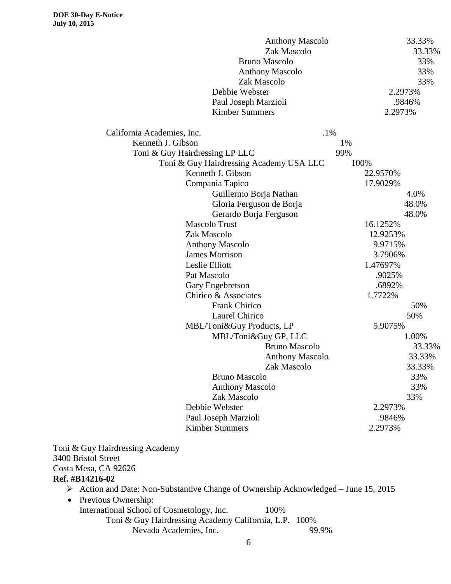|                                                                                                    | <b>Anthony Mascolo</b>                                |          | 33.33% |
|----------------------------------------------------------------------------------------------------|-------------------------------------------------------|----------|--------|
|                                                                                                    | Zak Mascolo                                           |          | 33.33% |
|                                                                                                    | <b>Bruno Mascolo</b>                                  |          | 33%    |
|                                                                                                    | <b>Anthony Mascolo</b>                                |          | 33%    |
|                                                                                                    | Zak Mascolo                                           |          | 33%    |
|                                                                                                    | Debbie Webster                                        | 2.2973%  |        |
|                                                                                                    | Paul Joseph Marzioli                                  |          | .9846% |
|                                                                                                    | <b>Kimber Summers</b>                                 | 2.2973%  |        |
| California Academies, Inc.                                                                         | .1%                                                   |          |        |
| Kenneth J. Gibson                                                                                  |                                                       | 1%       |        |
| Toni & Guy Hairdressing LP LLC                                                                     |                                                       | 99%      |        |
|                                                                                                    | Toni & Guy Hairdressing Academy USA LLC               | 100%     |        |
|                                                                                                    | Kenneth J. Gibson                                     | 22.9570% |        |
|                                                                                                    | Compania Tapico                                       | 17.9029% |        |
|                                                                                                    | Guillermo Borja Nathan                                |          | 4.0%   |
|                                                                                                    | Gloria Ferguson de Borja                              |          | 48.0%  |
|                                                                                                    | Gerardo Borja Ferguson                                |          | 48.0%  |
|                                                                                                    | <b>Mascolo Trust</b>                                  | 16.1252% |        |
|                                                                                                    | Zak Mascolo                                           | 12.9253% |        |
|                                                                                                    | <b>Anthony Mascolo</b>                                | 9.9715%  |        |
|                                                                                                    | <b>James Morrison</b>                                 | 3.7906%  |        |
|                                                                                                    | Leslie Elliott                                        | 1.47697% |        |
|                                                                                                    | Pat Mascolo                                           | .9025%   |        |
|                                                                                                    | Gary Engebretson                                      | .6892%   |        |
|                                                                                                    | Chirico & Associates                                  | 1.7722%  |        |
|                                                                                                    | Frank Chirico                                         |          | 50%    |
|                                                                                                    | Laurel Chirico                                        |          | 50%    |
|                                                                                                    | MBL/Toni&Guy Products, LP                             | 5.9075%  |        |
|                                                                                                    | MBL/Toni&Guy GP, LLC                                  |          | 1.00%  |
|                                                                                                    | <b>Bruno Mascolo</b>                                  |          | 33.33% |
|                                                                                                    | <b>Anthony Mascolo</b>                                |          | 33.33% |
|                                                                                                    | Zak Mascolo                                           |          | 33.33% |
|                                                                                                    | <b>Bruno Mascolo</b>                                  |          | 33%    |
|                                                                                                    | <b>Anthony Mascolo</b>                                |          | 33%    |
|                                                                                                    | Zak Mascolo                                           |          | 33%    |
|                                                                                                    | Debbie Webster                                        | 2.2973%  |        |
|                                                                                                    | Paul Joseph Marzioli                                  | .9846%   |        |
|                                                                                                    | <b>Kimber Summers</b>                                 | 2.2973%  |        |
| Toni & Guy Hairdressing Academy                                                                    |                                                       |          |        |
| 3400 Bristol Street                                                                                |                                                       |          |        |
| Costa Mesa, CA 92626                                                                               |                                                       |          |        |
| Ref. #B14216-02                                                                                    |                                                       |          |        |
| $\triangleright$ Action and Date: Non-Substantive Change of Ownership Acknowledged – June 15, 2015 |                                                       |          |        |
| Previous Ownership:<br>٠                                                                           |                                                       |          |        |
| International School of Cosmetology, Inc.                                                          | 100%                                                  |          |        |
|                                                                                                    | Toni & Guy Hairdressing Academy California, L.P. 100% |          |        |
| Nevada Academies, Inc.                                                                             | 99.9%                                                 |          |        |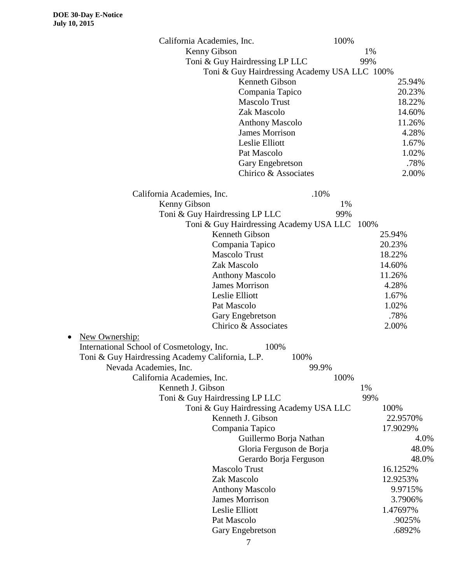| California Academies, Inc.                               | 100% |      |          |
|----------------------------------------------------------|------|------|----------|
| Kenny Gibson                                             |      | 1%   |          |
| Toni & Guy Hairdressing LP LLC                           |      | 99%  |          |
| Toni & Guy Hairdressing Academy USA LLC 100%             |      |      |          |
| Kenneth Gibson                                           |      |      | 25.94%   |
| Compania Tapico                                          |      |      | 20.23%   |
| <b>Mascolo Trust</b>                                     |      |      | 18.22%   |
| Zak Mascolo                                              |      |      | 14.60%   |
| <b>Anthony Mascolo</b>                                   |      |      | 11.26%   |
| <b>James Morrison</b>                                    |      |      | 4.28%    |
| Leslie Elliott                                           |      |      | 1.67%    |
| Pat Mascolo                                              |      |      | 1.02%    |
| Gary Engebretson                                         |      |      | .78%     |
| Chirico & Associates                                     |      |      | 2.00%    |
|                                                          |      |      |          |
| .10%<br>California Academies, Inc.                       |      |      |          |
| Kenny Gibson                                             | 1%   |      |          |
| Toni & Guy Hairdressing LP LLC                           | 99%  |      |          |
| Toni & Guy Hairdressing Academy USA LLC                  |      | 100% |          |
| Kenneth Gibson                                           |      |      | 25.94%   |
| Compania Tapico                                          |      |      | 20.23%   |
| <b>Mascolo Trust</b>                                     |      |      | 18.22%   |
| Zak Mascolo                                              |      |      | 14.60%   |
| <b>Anthony Mascolo</b>                                   |      |      | 11.26%   |
| <b>James Morrison</b>                                    |      |      | 4.28%    |
| Leslie Elliott                                           |      |      | 1.67%    |
| Pat Mascolo                                              |      |      | 1.02%    |
| Gary Engebretson                                         |      |      | .78%     |
| Chirico & Associates                                     |      |      | 2.00%    |
| New Ownership:                                           |      |      |          |
| International School of Cosmetology, Inc.<br>100%        |      |      |          |
| Toni & Guy Hairdressing Academy California, L.P.<br>100% |      |      |          |
| Nevada Academies, Inc.<br>99.9%                          |      |      |          |
| California Academies, Inc.                               | 100% |      |          |
| Kenneth J. Gibson                                        |      | 1%   |          |
| Toni & Guy Hairdressing LP LLC                           |      | 99%  |          |
| Toni & Guy Hairdressing Academy USA LLC                  |      |      | 100%     |
| Kenneth J. Gibson                                        |      |      | 22.9570% |
| Compania Tapico                                          |      |      | 17.9029% |
| Guillermo Borja Nathan                                   |      |      | 4.0%     |
| Gloria Ferguson de Borja                                 |      |      | 48.0%    |
| Gerardo Borja Ferguson                                   |      |      | 48.0%    |
| <b>Mascolo Trust</b>                                     |      |      | 16.1252% |
| Zak Mascolo                                              |      |      | 12.9253% |
| <b>Anthony Mascolo</b>                                   |      |      | 9.9715%  |
| <b>James Morrison</b>                                    |      |      | 3.7906%  |
| Leslie Elliott                                           |      |      | 1.47697% |
| Pat Mascolo                                              |      |      | .9025%   |
| Gary Engebretson                                         |      |      | .6892%   |
| 7                                                        |      |      |          |
|                                                          |      |      |          |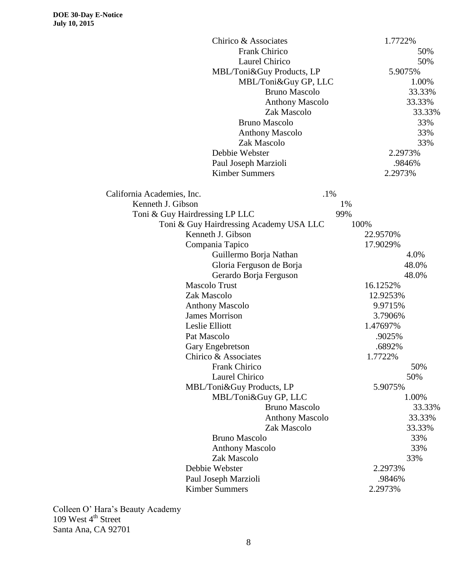| Chirico & Associates                    | 1.7722%  |
|-----------------------------------------|----------|
| Frank Chirico                           | 50%      |
| Laurel Chirico                          | 50%      |
| MBL/Toni&Guy Products, LP               | 5.9075%  |
| MBL/Toni&Guy GP, LLC                    | 1.00%    |
| <b>Bruno Mascolo</b>                    | 33.33%   |
| <b>Anthony Mascolo</b>                  | 33.33%   |
| Zak Mascolo                             | 33.33%   |
| <b>Bruno Mascolo</b>                    | 33%      |
| <b>Anthony Mascolo</b>                  | 33%      |
| Zak Mascolo                             | 33%      |
| Debbie Webster                          | 2.2973%  |
| Paul Joseph Marzioli                    | .9846%   |
| <b>Kimber Summers</b>                   | 2.2973%  |
| .1%<br>California Academies, Inc.       |          |
| Kenneth J. Gibson                       | 1%       |
| Toni & Guy Hairdressing LP LLC          | 99%      |
| Toni & Guy Hairdressing Academy USA LLC | 100%     |
| Kenneth J. Gibson                       | 22.9570% |
| Compania Tapico                         | 17.9029% |
| Guillermo Borja Nathan                  | 4.0%     |
| Gloria Ferguson de Borja                | 48.0%    |
| Gerardo Borja Ferguson                  | 48.0%    |
| <b>Mascolo Trust</b>                    | 16.1252% |
| Zak Mascolo                             | 12.9253% |
| <b>Anthony Mascolo</b>                  | 9.9715%  |
| <b>James Morrison</b>                   | 3.7906%  |
| Leslie Elliott                          | 1.47697% |
| Pat Mascolo                             | .9025%   |
| Gary Engebretson                        | .6892%   |
| Chirico & Associates                    | 1.7722%  |
| <b>Frank Chirico</b>                    | 50%      |
| Laurel Chirico                          | 50%      |
| MBL/Toni&Guy Products, LP               | 5.9075%  |
| MBL/Toni&Guy GP, LLC                    | 1.00%    |
| <b>Bruno Mascolo</b>                    | 33.33%   |
| <b>Anthony Mascolo</b>                  | 33.33%   |
| Zak Mascolo                             | 33.33%   |
| <b>Bruno Mascolo</b>                    | 33%      |
| <b>Anthony Mascolo</b>                  | 33%      |
| Zak Mascolo                             | 33%      |
| Debbie Webster                          | 2.2973%  |
| Paul Joseph Marzioli                    | .9846%   |
| <b>Kimber Summers</b>                   | 2.2973%  |

Colleen O' Hara's Beauty Academy 109 West 4<sup>th</sup> Street Santa Ana, CA 92701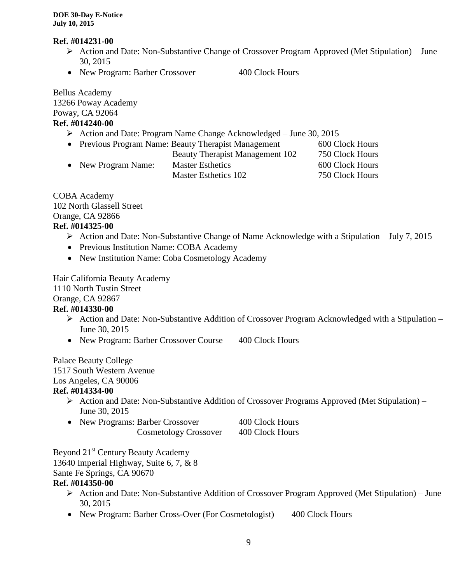#### **Ref. #014231-00**

- $\triangleright$  Action and Date: Non-Substantive Change of Crossover Program Approved (Met Stipulation) June 30, 2015
- New Program: Barber Crossover 400 Clock Hours

Bellus Academy 13266 Poway Academy Poway, CA 92064 **Ref. #014240-00**

Action and Date: Program Name Change Acknowledged – June 30, 2015

|                     | • Previous Program Name: Beauty Therapist Management | 600 Clock Hours |
|---------------------|------------------------------------------------------|-----------------|
|                     | <b>Beauty Therapist Management 102</b>               | 750 Clock Hours |
| • New Program Name: | <b>Master Esthetics</b>                              | 600 Clock Hours |
|                     | Master Esthetics 102                                 | 750 Clock Hours |

COBA Academy 102 North Glassell Street Orange, CA 92866 **Ref. #014325-00**

- Action and Date: Non-Substantive Change of Name Acknowledge with a Stipulation July 7, 2015
- Previous Institution Name: COBA Academy
- New Institution Name: Coba Cosmetology Academy

Hair California Beauty Academy

1110 North Tustin Street

Orange, CA 92867

#### **Ref. #014330-00**

- Action and Date: Non-Substantive Addition of Crossover Program Acknowledged with a Stipulation June 30, 2015
- New Program: Barber Crossover Course 400 Clock Hours

Palace Beauty College

1517 South Western Avenue

Los Angeles, CA 90006

### **Ref. #014334-00**

- $\triangleright$  Action and Date: Non-Substantive Addition of Crossover Programs Approved (Met Stipulation) June 30, 2015
- New Programs: Barber Crossover 400 Clock Hours Cosmetology Crossover 400 Clock Hours

Beyond 21<sup>st</sup> Century Beauty Academy 13640 Imperial Highway, Suite 6, 7, & 8 Sante Fe Springs, CA 90670 **Ref. #014350-00**

- $\triangleright$  Action and Date: Non-Substantive Addition of Crossover Program Approved (Met Stipulation) June 30, 2015
- New Program: Barber Cross-Over (For Cosmetologist) 400 Clock Hours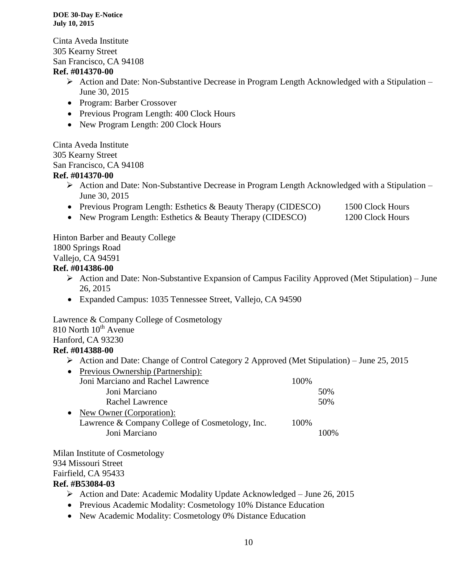Cinta Aveda Institute 305 Kearny Street San Francisco, CA 94108

#### **Ref. #014370-00**

- $\triangleright$  Action and Date: Non-Substantive Decrease in Program Length Acknowledged with a Stipulation June 30, 2015
- Program: Barber Crossover
- Previous Program Length: 400 Clock Hours
- New Program Length: 200 Clock Hours

Cinta Aveda Institute 305 Kearny Street San Francisco, CA 94108

#### **Ref. #014370-00**

- $\triangleright$  Action and Date: Non-Substantive Decrease in Program Length Acknowledged with a Stipulation June 30, 2015
- Previous Program Length: Esthetics & Beauty Therapy (CIDESCO) 1500 Clock Hours
- New Program Length: Esthetics & Beauty Therapy (CIDESCO) 1200 Clock Hours

Hinton Barber and Beauty College

1800 Springs Road

Vallejo, CA 94591

#### **Ref. #014386-00**

- $\triangleright$  Action and Date: Non-Substantive Expansion of Campus Facility Approved (Met Stipulation) June 26, 2015
- Expanded Campus: 1035 Tennessee Street, Vallejo, CA 94590

Lawrence & Company College of Cosmetology

 $810$  North  $10^{th}$  Avenue

Hanford, CA 93230

# **Ref. #014388-00**

- $\triangleright$  Action and Date: Change of Control Category 2 Approved (Met Stipulation) June 25, 2015
- Previous Ownership (Partnership): Joni Marciano and Rachel Lawrence 100% Joni Marciano 50% Rachel Lawrence 50% • New Owner (Corporation): Lawrence & Company College of Cosmetology, Inc. 100% Joni Marciano 100%

Milan Institute of Cosmetology 934 Missouri Street Fairfield, CA 95433 **Ref. #B53084-03**

# $\triangleright$  Action and Date: Academic Modality Update Acknowledged – June 26, 2015

- Previous Academic Modality: Cosmetology 10% Distance Education
- New Academic Modality: Cosmetology 0% Distance Education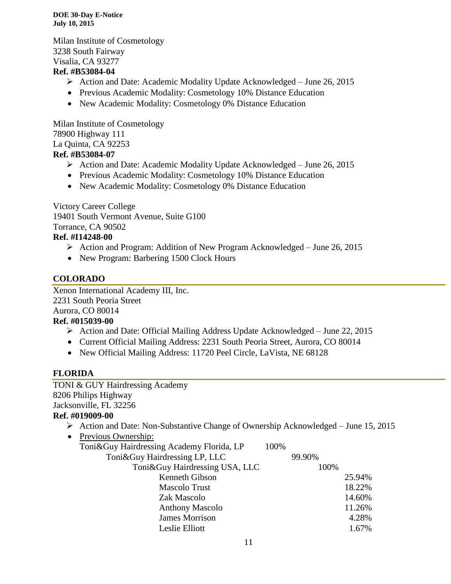Milan Institute of Cosmetology 3238 South Fairway Visalia, CA 93277

### **Ref. #B53084-04**

- $\triangleright$  Action and Date: Academic Modality Update Acknowledged June 26, 2015
- Previous Academic Modality: Cosmetology 10% Distance Education
- New Academic Modality: Cosmetology 0% Distance Education

Milan Institute of Cosmetology 78900 Highway 111 La Quinta, CA 92253 **Ref. #B53084-07**

- $\triangleright$  Action and Date: Academic Modality Update Acknowledged June 26, 2015
- Previous Academic Modality: Cosmetology 10% Distance Education
- New Academic Modality: Cosmetology 0% Distance Education

Victory Career College 19401 South Vermont Avenue, Suite G100 Torrance, CA 90502

### **Ref. #I14248-00**

- $\triangleright$  Action and Program: Addition of New Program Acknowledged June 26, 2015
- New Program: Barbering 1500 Clock Hours

### **COLORADO**

Xenon International Academy III, Inc. 2231 South Peoria Street Aurora, CO 80014

#### **Ref. #015039-00**

- Action and Date: Official Mailing Address Update Acknowledged June 22, 2015
- Current Official Mailing Address: 2231 South Peoria Street, Aurora, CO 80014
- New Official Mailing Address: 11720 Peel Circle, LaVista, NE 68128

#### **FLORIDA**

TONI & GUY Hairdressing Academy 8206 Philips Highway Jacksonville, FL 32256

#### **Ref. #019009-00**

 $\triangleright$  Action and Date: Non-Substantive Change of Ownership Acknowledged – June 15, 2015

| • Previous Ownership:                     |      |        |        |
|-------------------------------------------|------|--------|--------|
| Toni&Guy Hairdressing Academy Florida, LP | 100% |        |        |
| Toni & Guy Hairdressing LP, LLC           |      | 99.90% |        |
| Toni & Guy Hairdressing USA, LLC          |      | 100%   |        |
| Kenneth Gibson                            |      |        | 25.94% |
| <b>Mascolo Trust</b>                      |      |        | 18.22% |
| Zak Mascolo                               |      |        | 14.60% |
| <b>Anthony Mascolo</b>                    |      |        | 11.26% |
| <b>James Morrison</b>                     |      |        | 4.28%  |
| Leslie Elliott                            |      |        | 1.67%  |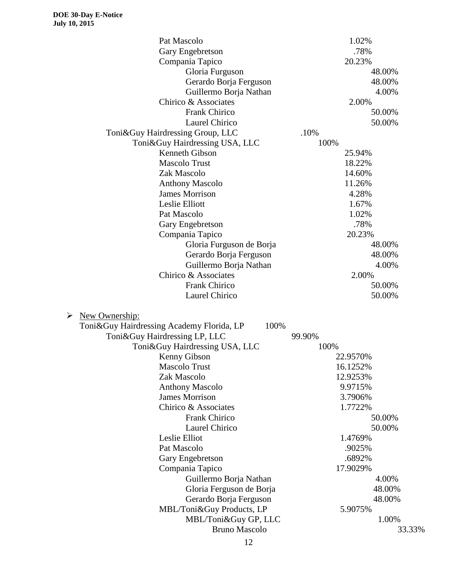$\blacktriangleright$ 

| Pat Mascolo                                       | 1.02%    |
|---------------------------------------------------|----------|
| Gary Engebretson                                  | .78%     |
| Compania Tapico                                   | 20.23%   |
| Gloria Furguson                                   | 48.00%   |
| Gerardo Borja Ferguson                            | 48.00%   |
| Guillermo Borja Nathan                            | 4.00%    |
| Chirico & Associates                              | 2.00%    |
| <b>Frank Chirico</b>                              | 50.00%   |
| Laurel Chirico                                    | 50.00%   |
| Toni&Guy Hairdressing Group, LLC                  | .10%     |
| Toni&Guy Hairdressing USA, LLC                    | 100%     |
| Kenneth Gibson                                    | 25.94%   |
| <b>Mascolo Trust</b>                              | 18.22%   |
| Zak Mascolo                                       | 14.60%   |
| <b>Anthony Mascolo</b>                            | 11.26%   |
| <b>James Morrison</b>                             | 4.28%    |
| Leslie Elliott                                    | 1.67%    |
| Pat Mascolo                                       | 1.02%    |
| Gary Engebretson                                  | .78%     |
| Compania Tapico                                   | 20.23%   |
| Gloria Furguson de Borja                          | 48.00%   |
| Gerardo Borja Ferguson                            | 48.00%   |
| Guillermo Borja Nathan                            | 4.00%    |
| Chirico & Associates                              | 2.00%    |
| Frank Chirico                                     | 50.00%   |
| Laurel Chirico                                    | 50.00%   |
|                                                   |          |
| New Ownership:                                    |          |
| Toni&Guy Hairdressing Academy Florida, LP<br>100% |          |
| Toni&Guy Hairdressing LP, LLC                     | 99.90%   |
| Toni&Guy Hairdressing USA, LLC                    | 100%     |
| Kenny Gibson                                      | 22.9570% |
| Mascolo Trust                                     | 16.1252% |
| Zak Mascolo                                       | 12.9253% |
|                                                   | 9.9715%  |
| <b>Anthony Mascolo</b><br><b>James Morrison</b>   |          |
|                                                   | 3.7906%  |
| Chirico & Associates                              | 1.7722%  |
| Frank Chirico                                     | 50.00%   |
| Laurel Chirico                                    | 50.00%   |
| Leslie Elliot                                     | 1.4769%  |
| Pat Mascolo                                       | .9025%   |
| Gary Engebretson                                  | .6892%   |
| Compania Tapico                                   | 17.9029% |
| Guillermo Borja Nathan                            | 4.00%    |
| Gloria Ferguson de Borja                          | 48.00%   |
| Gerardo Borja Ferguson                            | 48.00%   |
| MBL/Toni&Guy Products, LP                         | 5.9075%  |
| MBL/Toni&Guy GP, LLC                              | 1.00%    |
| <b>Bruno Mascolo</b>                              | 33.33%   |
| 12                                                |          |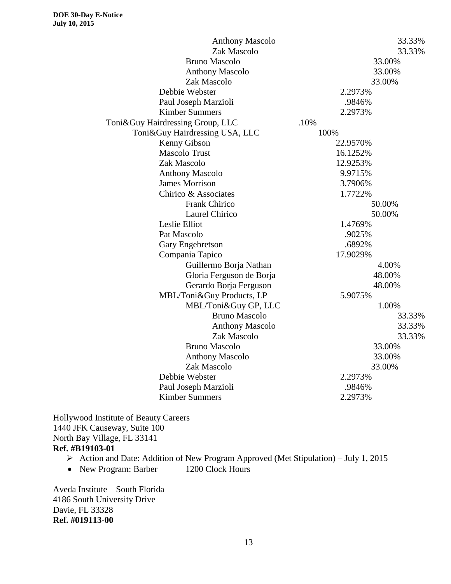| <b>Anthony Mascolo</b>           | 33.33%   |
|----------------------------------|----------|
| Zak Mascolo                      | 33.33%   |
| <b>Bruno Mascolo</b>             | 33.00%   |
| <b>Anthony Mascolo</b>           | 33.00%   |
| Zak Mascolo                      | 33.00%   |
| Debbie Webster                   | 2.2973%  |
| Paul Joseph Marzioli             | .9846%   |
| <b>Kimber Summers</b>            | 2.2973%  |
| Toni&Guy Hairdressing Group, LLC | .10%     |
| Toni&Guy Hairdressing USA, LLC   | 100%     |
| Kenny Gibson                     | 22.9570% |
| <b>Mascolo Trust</b>             | 16.1252% |
| Zak Mascolo                      | 12.9253% |
| <b>Anthony Mascolo</b>           | 9.9715%  |
| <b>James Morrison</b>            | 3.7906%  |
| Chirico & Associates             | 1.7722%  |
| Frank Chirico                    | 50.00%   |
| Laurel Chirico                   | 50.00%   |
| Leslie Elliot                    | 1.4769%  |
| Pat Mascolo                      | .9025%   |
| Gary Engebretson                 | .6892%   |
| Compania Tapico                  | 17.9029% |
| Guillermo Borja Nathan           | 4.00%    |
| Gloria Ferguson de Borja         | 48.00%   |
| Gerardo Borja Ferguson           | 48.00%   |
| MBL/Toni&Guy Products, LP        | 5.9075%  |
| MBL/Toni&Guy GP, LLC             | 1.00%    |
| <b>Bruno Mascolo</b>             | 33.33%   |
| <b>Anthony Mascolo</b>           | 33.33%   |
| Zak Mascolo                      | 33.33%   |
| <b>Bruno Mascolo</b>             | 33.00%   |
| <b>Anthony Mascolo</b>           | 33.00%   |
| Zak Mascolo                      | 33.00%   |
| Debbie Webster                   | 2.2973%  |
| Paul Joseph Marzioli             | .9846%   |
| <b>Kimber Summers</b>            | 2.2973%  |

Hollywood Institute of Beauty Careers 1440 JFK Causeway, Suite 100 North Bay Village, FL 33141 **Ref. #B19103-01**

- $\triangleright$  Action and Date: Addition of New Program Approved (Met Stipulation) July 1, 2015
- New Program: Barber 1200 Clock Hours

Aveda Institute – South Florida 4186 South University Drive Davie, FL 33328 **Ref. #019113-00**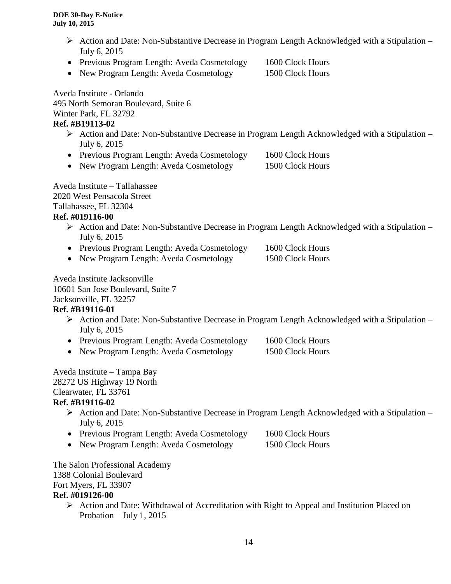- $\triangleright$  Action and Date: Non-Substantive Decrease in Program Length Acknowledged with a Stipulation July 6, 2015
- Previous Program Length: Aveda Cosmetology 1600 Clock Hours
- New Program Length: Aveda Cosmetology 1500 Clock Hours

Aveda Institute - Orlando 495 North Semoran Boulevard, Suite 6 Winter Park, FL 32792 **Ref. #B19113-02**

- Action and Date: Non-Substantive Decrease in Program Length Acknowledged with a Stipulation July 6, 2015
- Previous Program Length: Aveda Cosmetology 1600 Clock Hours
- New Program Length: Aveda Cosmetology 1500 Clock Hours

Aveda Institute – Tallahassee 2020 West Pensacola Street Tallahassee, FL 32304

# **Ref. #019116-00**

- $\triangleright$  Action and Date: Non-Substantive Decrease in Program Length Acknowledged with a Stipulation July 6, 2015
- Previous Program Length: Aveda Cosmetology 1600 Clock Hours
- New Program Length: Aveda Cosmetology 1500 Clock Hours

Aveda Institute Jacksonville 10601 San Jose Boulevard, Suite 7 Jacksonville, FL 32257

# **Ref. #B19116-01**

- $\triangleright$  Action and Date: Non-Substantive Decrease in Program Length Acknowledged with a Stipulation July 6, 2015
- Previous Program Length: Aveda Cosmetology 1600 Clock Hours
- New Program Length: Aveda Cosmetology 1500 Clock Hours

Aveda Institute – Tampa Bay 28272 US Highway 19 North Clearwater, FL 33761

# **Ref. #B19116-02**

- $\triangleright$  Action and Date: Non-Substantive Decrease in Program Length Acknowledged with a Stipulation July 6, 2015
- Previous Program Length: Aveda Cosmetology 1600 Clock Hours
- New Program Length: Aveda Cosmetology 1500 Clock Hours

The Salon Professional Academy 1388 Colonial Boulevard Fort Myers, FL 33907 **Ref. #019126-00**

 Action and Date: Withdrawal of Accreditation with Right to Appeal and Institution Placed on Probation – July 1, 2015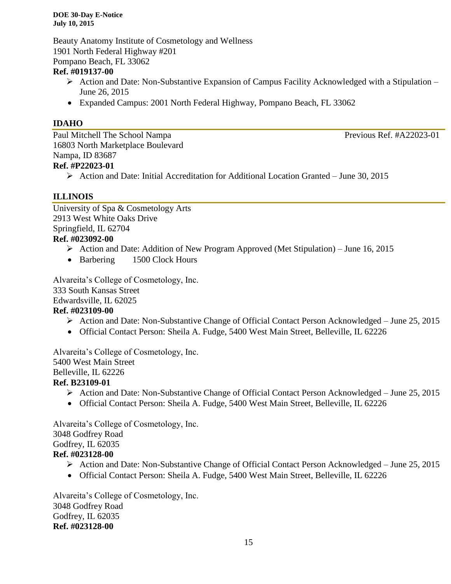Beauty Anatomy Institute of Cosmetology and Wellness 1901 North Federal Highway #201 Pompano Beach, FL 33062

#### **Ref. #019137-00**

- $\triangleright$  Action and Date: Non-Substantive Expansion of Campus Facility Acknowledged with a Stipulation June 26, 2015
- Expanded Campus: 2001 North Federal Highway, Pompano Beach, FL 33062

#### **IDAHO**

Paul Mitchell The School Nampa Previous Ref. #A22023-01 16803 North Marketplace Boulevard Nampa, ID 83687 **Ref. #P22023-01**

Action and Date: Initial Accreditation for Additional Location Granted – June 30, 2015

#### **ILLINOIS**

University of Spa & Cosmetology Arts 2913 West White Oaks Drive Springfield, IL 62704 **Ref. #023092-00**

- Action and Date: Addition of New Program Approved (Met Stipulation) June 16, 2015
- Barbering 1500 Clock Hours

Alvareita's College of Cosmetology, Inc. 333 South Kansas Street Edwardsville, IL 62025

# **Ref. #023109-00**

- Action and Date: Non-Substantive Change of Official Contact Person Acknowledged June 25, 2015
- Official Contact Person: Sheila A. Fudge, 5400 West Main Street, Belleville, IL 62226

Alvareita's College of Cosmetology, Inc. 5400 West Main Street Belleville, IL 62226

# **Ref. B23109-01**

- Action and Date: Non-Substantive Change of Official Contact Person Acknowledged June 25, 2015
- Official Contact Person: Sheila A. Fudge, 5400 West Main Street, Belleville, IL 62226

Alvareita's College of Cosmetology, Inc. 3048 Godfrey Road Godfrey, IL 62035 **Ref. #023128-00**

- Action and Date: Non-Substantive Change of Official Contact Person Acknowledged June 25, 2015
- Official Contact Person: Sheila A. Fudge, 5400 West Main Street, Belleville, IL 62226

Alvareita's College of Cosmetology, Inc. 3048 Godfrey Road Godfrey, IL 62035 **Ref. #023128-00**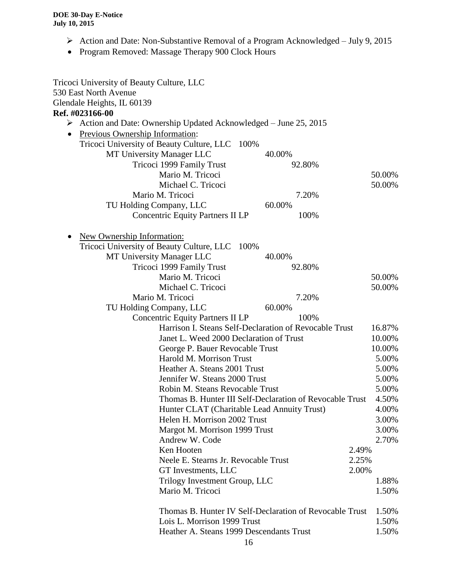- Action and Date: Non-Substantive Removal of a Program Acknowledged July 9, 2015
- Program Removed: Massage Therapy 900 Clock Hours

| Tricoci University of Beauty Culture, LLC                                        |                |
|----------------------------------------------------------------------------------|----------------|
| 530 East North Avenue                                                            |                |
| Glendale Heights, IL 60139                                                       |                |
| Ref. #023166-00                                                                  |                |
| $\triangleright$ Action and Date: Ownership Updated Acknowledged – June 25, 2015 |                |
| Previous Ownership Information:<br>$\bullet$                                     |                |
| Tricoci University of Beauty Culture, LLC 100%                                   |                |
| MT University Manager LLC<br>40.00%                                              |                |
| Tricoci 1999 Family Trust<br>92.80%                                              |                |
| Mario M. Tricoci                                                                 | 50.00%         |
| Michael C. Tricoci                                                               | 50.00%         |
| Mario M. Tricoci<br>7.20%                                                        |                |
| 60.00%<br>TU Holding Company, LLC                                                |                |
| <b>Concentric Equity Partners II LP</b><br>100%                                  |                |
| <b>New Ownership Information:</b>                                                |                |
| Tricoci University of Beauty Culture, LLC 100%                                   |                |
| MT University Manager LLC<br>40.00%                                              |                |
| Tricoci 1999 Family Trust<br>92.80%                                              |                |
| Mario M. Tricoci                                                                 | 50.00%         |
| Michael C. Tricoci                                                               | 50.00%         |
| 7.20%<br>Mario M. Tricoci                                                        |                |
| 60.00%<br>TU Holding Company, LLC                                                |                |
| <b>Concentric Equity Partners II LP</b><br>100%                                  |                |
| Harrison I. Steans Self-Declaration of Revocable Trust                           | 16.87%         |
| Janet L. Weed 2000 Declaration of Trust                                          | 10.00%         |
| George P. Bauer Revocable Trust                                                  | 10.00%         |
| Harold M. Morrison Trust                                                         | 5.00%          |
| Heather A. Steans 2001 Trust                                                     | 5.00%          |
| Jennifer W. Steans 2000 Trust                                                    | 5.00%          |
| Robin M. Steans Revocable Trust                                                  | 5.00%          |
| Thomas B. Hunter III Self-Declaration of Revocable Trust                         | 4.50%          |
| Hunter CLAT (Charitable Lead Annuity Trust)                                      | 4.00%          |
| Helen H. Morrison 2002 Trust                                                     | 3.00%          |
| Margot M. Morrison 1999 Trust<br>Andrew W. Code                                  | 3.00%<br>2.70% |
| Ken Hooten                                                                       | 2.49%          |
| Neele E. Stearns Jr. Revocable Trust                                             | 2.25%          |
| GT Investments, LLC                                                              | 2.00%          |
| Trilogy Investment Group, LLC                                                    | 1.88%          |
| Mario M. Tricoci                                                                 | 1.50%          |
| Thomas B. Hunter IV Self-Declaration of Revocable Trust                          | 1.50%          |
| Lois L. Morrison 1999 Trust                                                      | 1.50%          |
| Heather A. Steans 1999 Descendants Trust                                         | 1.50%          |
| 1 <sub>c</sub>                                                                   |                |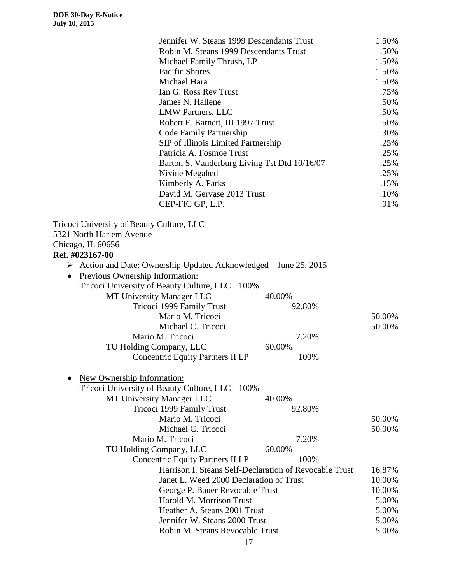| Jennifer W. Steans 1999 Descendants Trust<br>Robin M. Steans 1999 Descendants Trust<br>Michael Family Thrush, LP<br><b>Pacific Shores</b><br>Michael Hara<br>Ian G. Ross Rev Trust<br>James N. Hallene<br>LMW Partners, LLC<br>Robert F. Barnett, III 1997 Trust<br>Code Family Partnership<br>SIP of Illinois Limited Partnership<br>Patricia A. Fosmoe Trust | 1.50%<br>1.50%<br>1.50%<br>1.50%<br>1.50%<br>.75%<br>.50%<br>.50%<br>.50%<br>.30%<br>.25%<br>.25% |
|----------------------------------------------------------------------------------------------------------------------------------------------------------------------------------------------------------------------------------------------------------------------------------------------------------------------------------------------------------------|---------------------------------------------------------------------------------------------------|
| Barton S. Vanderburg Living Tst Dtd 10/16/07                                                                                                                                                                                                                                                                                                                   | .25%                                                                                              |
| Nivine Megahed                                                                                                                                                                                                                                                                                                                                                 | .25%                                                                                              |
| Kimberly A. Parks                                                                                                                                                                                                                                                                                                                                              | .15%                                                                                              |
| David M. Gervase 2013 Trust                                                                                                                                                                                                                                                                                                                                    | .10%                                                                                              |
| CEP-FIC GP, L.P.                                                                                                                                                                                                                                                                                                                                               | .01%                                                                                              |
| Tricoci University of Beauty Culture, LLC<br>5321 North Harlem Avenue<br>Chicago, IL 60656                                                                                                                                                                                                                                                                     |                                                                                                   |
| Ref. #023167-00                                                                                                                                                                                                                                                                                                                                                |                                                                                                   |
| $\triangleright$ Action and Date: Ownership Updated Acknowledged – June 25, 2015                                                                                                                                                                                                                                                                               |                                                                                                   |
| Previous Ownership Information:<br>$\bullet$                                                                                                                                                                                                                                                                                                                   |                                                                                                   |
| Tricoci University of Beauty Culture, LLC<br>100%                                                                                                                                                                                                                                                                                                              |                                                                                                   |
| MT University Manager LLC<br>40.00%                                                                                                                                                                                                                                                                                                                            |                                                                                                   |
| Tricoci 1999 Family Trust<br>92.80%<br>Mario M. Tricoci                                                                                                                                                                                                                                                                                                        | 50.00%                                                                                            |
| Michael C. Tricoci                                                                                                                                                                                                                                                                                                                                             | 50.00%                                                                                            |
| Mario M. Tricoci<br>7.20%                                                                                                                                                                                                                                                                                                                                      |                                                                                                   |
| 60.00%<br>TU Holding Company, LLC                                                                                                                                                                                                                                                                                                                              |                                                                                                   |
| 100%<br><b>Concentric Equity Partners II LP</b>                                                                                                                                                                                                                                                                                                                |                                                                                                   |
|                                                                                                                                                                                                                                                                                                                                                                |                                                                                                   |
| New Ownership Information:                                                                                                                                                                                                                                                                                                                                     |                                                                                                   |
| Tricoci University of Beauty Culture, LLC<br>100%                                                                                                                                                                                                                                                                                                              |                                                                                                   |
| MT University Manager LLC<br>40.00%                                                                                                                                                                                                                                                                                                                            |                                                                                                   |
| Tricoci 1999 Family Trust<br>92.80%                                                                                                                                                                                                                                                                                                                            |                                                                                                   |
| Mario M. Tricoci                                                                                                                                                                                                                                                                                                                                               | 50.00%                                                                                            |
| Michael C. Tricoci                                                                                                                                                                                                                                                                                                                                             | 50.00%                                                                                            |
| Mario M. Tricoci<br>7.20%                                                                                                                                                                                                                                                                                                                                      |                                                                                                   |
| TU Holding Company, LLC<br>60.00%                                                                                                                                                                                                                                                                                                                              |                                                                                                   |
| <b>Concentric Equity Partners II LP</b><br>100%                                                                                                                                                                                                                                                                                                                |                                                                                                   |
| Harrison I. Steans Self-Declaration of Revocable Trust                                                                                                                                                                                                                                                                                                         | 16.87%                                                                                            |
| Janet L. Weed 2000 Declaration of Trust                                                                                                                                                                                                                                                                                                                        | 10.00%                                                                                            |
| George P. Bauer Revocable Trust                                                                                                                                                                                                                                                                                                                                | 10.00%                                                                                            |
| Harold M. Morrison Trust                                                                                                                                                                                                                                                                                                                                       | 5.00%                                                                                             |
| Heather A. Steans 2001 Trust                                                                                                                                                                                                                                                                                                                                   | 5.00%                                                                                             |
| Jennifer W. Steans 2000 Trust                                                                                                                                                                                                                                                                                                                                  | 5.00%                                                                                             |
| Robin M. Steans Revocable Trust                                                                                                                                                                                                                                                                                                                                | 5.00%                                                                                             |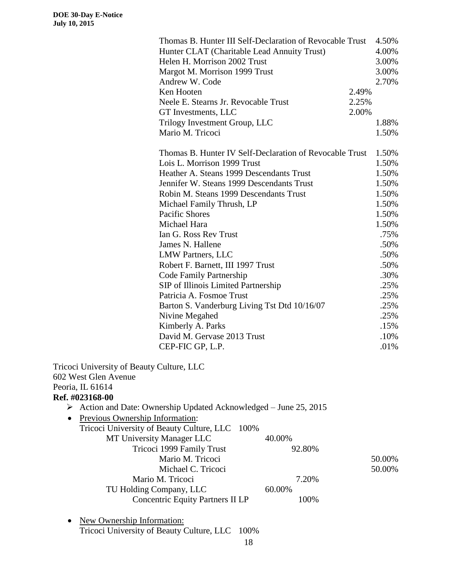|                                                                                  | Thomas B. Hunter III Self-Declaration of Revocable Trust | 4.50%  |
|----------------------------------------------------------------------------------|----------------------------------------------------------|--------|
| Hunter CLAT (Charitable Lead Annuity Trust)                                      |                                                          | 4.00%  |
| Helen H. Morrison 2002 Trust                                                     |                                                          | 3.00%  |
| Margot M. Morrison 1999 Trust                                                    |                                                          | 3.00%  |
| Andrew W. Code                                                                   |                                                          | 2.70%  |
| Ken Hooten                                                                       | 2.49%                                                    |        |
| Neele E. Stearns Jr. Revocable Trust                                             | 2.25%                                                    |        |
| GT Investments, LLC                                                              | 2.00%                                                    |        |
| Trilogy Investment Group, LLC                                                    |                                                          | 1.88%  |
| Mario M. Tricoci                                                                 |                                                          | 1.50%  |
|                                                                                  | Thomas B. Hunter IV Self-Declaration of Revocable Trust  | 1.50%  |
| Lois L. Morrison 1999 Trust                                                      |                                                          | 1.50%  |
| Heather A. Steans 1999 Descendants Trust                                         |                                                          | 1.50%  |
| Jennifer W. Steans 1999 Descendants Trust                                        |                                                          | 1.50%  |
| Robin M. Steans 1999 Descendants Trust                                           |                                                          | 1.50%  |
| Michael Family Thrush, LP                                                        |                                                          | 1.50%  |
| <b>Pacific Shores</b>                                                            |                                                          | 1.50%  |
| Michael Hara                                                                     |                                                          | 1.50%  |
| Ian G. Ross Rev Trust                                                            |                                                          | .75%   |
| James N. Hallene                                                                 |                                                          | .50%   |
| LMW Partners, LLC                                                                |                                                          | .50%   |
| Robert F. Barnett, III 1997 Trust                                                |                                                          | .50%   |
| Code Family Partnership                                                          |                                                          | .30%   |
| SIP of Illinois Limited Partnership                                              |                                                          | .25%   |
| Patricia A. Fosmoe Trust                                                         |                                                          | .25%   |
| Barton S. Vanderburg Living Tst Dtd 10/16/07                                     |                                                          | .25%   |
| Nivine Megahed                                                                   |                                                          | .25%   |
| Kimberly A. Parks                                                                |                                                          | .15%   |
| David M. Gervase 2013 Trust                                                      |                                                          | .10%   |
| CEP-FIC GP, L.P.                                                                 |                                                          | .01%   |
| Tricoci University of Beauty Culture, LLC                                        |                                                          |        |
| 602 West Glen Avenue                                                             |                                                          |        |
| Peoria, IL 61614                                                                 |                                                          |        |
| Ref. #023168-00                                                                  |                                                          |        |
| $\triangleright$ Action and Date: Ownership Updated Acknowledged – June 25, 2015 |                                                          |        |
| Previous Ownership Information:<br>$\bullet$                                     |                                                          |        |
| Tricoci University of Beauty Culture, LLC<br>100%                                |                                                          |        |
| MT University Manager LLC                                                        | 40.00%                                                   |        |
| Tricoci 1999 Family Trust                                                        | 92.80%                                                   |        |
| Mario M. Tricoci                                                                 |                                                          | 50.00% |
| Michael C. Tricoci                                                               |                                                          | 50.00% |
| Mario M. Tricoci                                                                 | 7.20%                                                    |        |
| TU Holding Company, LLC                                                          | 60.00%                                                   |        |
| <b>Concentric Equity Partners II LP</b>                                          | 100%                                                     |        |
| <b>New Ownership Information:</b>                                                |                                                          |        |
| Tricoci University of Beauty Culture, LLC<br>100%                                |                                                          |        |

18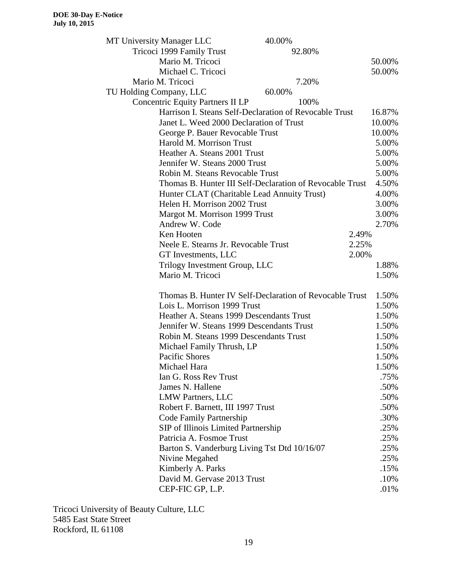| MT University Manager LLC                    | 40.00%                                                   |        |
|----------------------------------------------|----------------------------------------------------------|--------|
| Tricoci 1999 Family Trust                    | 92.80%                                                   |        |
| Mario M. Tricoci                             |                                                          | 50.00% |
| Michael C. Tricoci                           |                                                          | 50.00% |
| Mario M. Tricoci                             | 7.20%                                                    |        |
| TU Holding Company, LLC                      | 60.00%                                                   |        |
| <b>Concentric Equity Partners II LP</b>      | 100%                                                     |        |
|                                              | Harrison I. Steans Self-Declaration of Revocable Trust   | 16.87% |
| Janet L. Weed 2000 Declaration of Trust      |                                                          | 10.00% |
| George P. Bauer Revocable Trust              |                                                          | 10.00% |
| Harold M. Morrison Trust                     |                                                          | 5.00%  |
| Heather A. Steans 2001 Trust                 |                                                          | 5.00%  |
| Jennifer W. Steans 2000 Trust                |                                                          | 5.00%  |
| Robin M. Steans Revocable Trust              |                                                          | 5.00%  |
|                                              | Thomas B. Hunter III Self-Declaration of Revocable Trust | 4.50%  |
| Hunter CLAT (Charitable Lead Annuity Trust)  |                                                          | 4.00%  |
| Helen H. Morrison 2002 Trust                 |                                                          | 3.00%  |
| Margot M. Morrison 1999 Trust                |                                                          | 3.00%  |
| Andrew W. Code                               |                                                          | 2.70%  |
| Ken Hooten                                   | 2.49%                                                    |        |
| Neele E. Stearns Jr. Revocable Trust         | 2.25%                                                    |        |
| GT Investments, LLC                          | 2.00%                                                    |        |
| Trilogy Investment Group, LLC                |                                                          | 1.88%  |
| Mario M. Tricoci                             |                                                          | 1.50%  |
|                                              | Thomas B. Hunter IV Self-Declaration of Revocable Trust  | 1.50%  |
| Lois L. Morrison 1999 Trust                  |                                                          | 1.50%  |
| Heather A. Steans 1999 Descendants Trust     |                                                          | 1.50%  |
| Jennifer W. Steans 1999 Descendants Trust    |                                                          | 1.50%  |
| Robin M. Steans 1999 Descendants Trust       |                                                          | 1.50%  |
| Michael Family Thrush, LP                    |                                                          | 1.50%  |
| Pacific Shores                               |                                                          | 1.50%  |
| Michael Hara                                 |                                                          | 1.50%  |
| Ian G. Ross Rev Trust                        |                                                          | .75%   |
| James N. Hallene                             |                                                          | .50%   |
| <b>LMW Partners, LLC</b>                     |                                                          | .50%   |
| Robert F. Barnett, III 1997 Trust            |                                                          | .50%   |
| Code Family Partnership                      |                                                          | .30%   |
| SIP of Illinois Limited Partnership          |                                                          | .25%   |
| Patricia A. Fosmoe Trust                     |                                                          | .25%   |
| Barton S. Vanderburg Living Tst Dtd 10/16/07 |                                                          | .25%   |
| Nivine Megahed                               |                                                          | .25%   |
| Kimberly A. Parks                            |                                                          | .15%   |
| David M. Gervase 2013 Trust                  |                                                          | .10%   |
| CEP-FIC GP, L.P.                             |                                                          | .01%   |

Tricoci University of Beauty Culture, LLC 5485 East State Street Rockford, IL 61108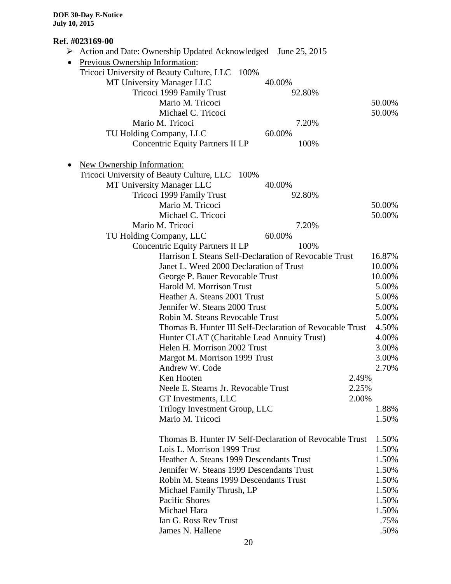### **Ref. #023169-00**

|           | . #VZJ1VJ-VV<br>$\triangleright$ Action and Date: Ownership Updated Acknowledged – June 25, 2015 |               |
|-----------|--------------------------------------------------------------------------------------------------|---------------|
| $\bullet$ | Previous Ownership Information:                                                                  |               |
|           | Tricoci University of Beauty Culture, LLC 100%                                                   |               |
|           | MT University Manager LLC<br>40.00%                                                              |               |
|           | Tricoci 1999 Family Trust<br>92.80%                                                              |               |
|           | Mario M. Tricoci                                                                                 | 50.00%        |
|           | Michael C. Tricoci                                                                               | 50.00%        |
|           | Mario M. Tricoci<br>7.20%                                                                        |               |
|           | 60.00%<br>TU Holding Company, LLC                                                                |               |
|           | <b>Concentric Equity Partners II LP</b><br>100%                                                  |               |
|           | <b>New Ownership Information:</b>                                                                |               |
|           | Tricoci University of Beauty Culture, LLC<br>100%                                                |               |
|           | MT University Manager LLC<br>40.00%                                                              |               |
|           | Tricoci 1999 Family Trust<br>92.80%                                                              |               |
|           | Mario M. Tricoci                                                                                 | 50.00%        |
|           | Michael C. Tricoci                                                                               | 50.00%        |
|           | Mario M. Tricoci                                                                                 |               |
|           | 7.20%                                                                                            |               |
|           | TU Holding Company, LLC<br>60.00%                                                                |               |
|           | <b>Concentric Equity Partners II LP</b><br>100%                                                  |               |
|           | Harrison I. Steans Self-Declaration of Revocable Trust                                           | 16.87%        |
|           | Janet L. Weed 2000 Declaration of Trust                                                          | 10.00%        |
|           | George P. Bauer Revocable Trust                                                                  | 10.00%        |
|           | Harold M. Morrison Trust                                                                         | 5.00%         |
|           | Heather A. Steans 2001 Trust                                                                     | 5.00%         |
|           | Jennifer W. Steans 2000 Trust                                                                    | 5.00%         |
|           | Robin M. Steans Revocable Trust                                                                  | 5.00%         |
|           | Thomas B. Hunter III Self-Declaration of Revocable Trust                                         | 4.50%         |
|           | Hunter CLAT (Charitable Lead Annuity Trust)                                                      | 4.00%         |
|           | Helen H. Morrison 2002 Trust                                                                     | 3.00%         |
|           | Margot M. Morrison 1999 Trust                                                                    | 3.00%         |
|           | Andrew W. Code                                                                                   | 2.70%         |
|           | Ken Hooten<br>2.49%                                                                              |               |
|           | Neele E. Stearns Jr. Revocable Trust<br>2.25%                                                    |               |
|           | 2.00%<br>GT Investments, LLC                                                                     |               |
|           | Trilogy Investment Group, LLC                                                                    | 1.88%         |
|           | Mario M. Tricoci                                                                                 | 1.50%         |
|           | Thomas B. Hunter IV Self-Declaration of Revocable Trust                                          | 1.50%         |
|           | Lois L. Morrison 1999 Trust                                                                      | 1.50%         |
|           | Heather A. Steans 1999 Descendants Trust                                                         | 1.50%         |
|           | Jennifer W. Steans 1999 Descendants Trust                                                        | 1.50%         |
|           | Robin M. Steans 1999 Descendants Trust                                                           | 1.50%         |
|           | Michael Family Thrush, LP                                                                        | 1.50%         |
|           | Pacific Shores                                                                                   | 1.50%         |
|           | Michael Hara                                                                                     |               |
|           | Ian G. Ross Rev Trust                                                                            | 1.50%<br>.75% |
|           |                                                                                                  |               |
|           | James N. Hallene                                                                                 | .50%          |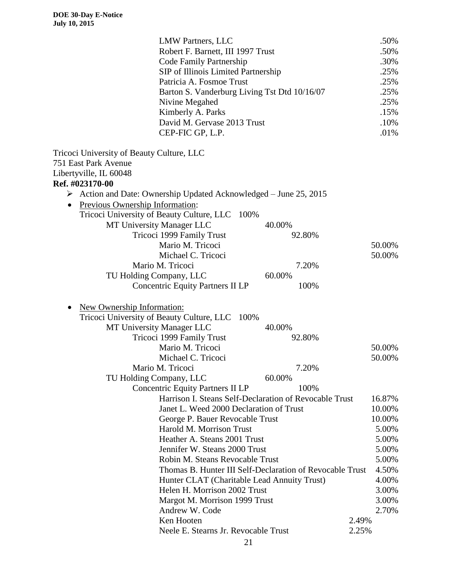| <b>LMW Partners, LLC</b>                                                         | .50%   |
|----------------------------------------------------------------------------------|--------|
| Robert F. Barnett, III 1997 Trust                                                | .50%   |
| Code Family Partnership                                                          | .30%   |
| SIP of Illinois Limited Partnership                                              | .25%   |
| Patricia A. Fosmoe Trust                                                         | .25%   |
| Barton S. Vanderburg Living Tst Dtd 10/16/07                                     | .25%   |
| Nivine Megahed                                                                   | .25%   |
| Kimberly A. Parks                                                                | .15%   |
| David M. Gervase 2013 Trust                                                      | .10%   |
| CEP-FIC GP, L.P.                                                                 | .01%   |
| Tricoci University of Beauty Culture, LLC                                        |        |
| 751 East Park Avenue                                                             |        |
| Libertyville, IL 60048                                                           |        |
| Ref. #023170-00                                                                  |        |
| $\triangleright$ Action and Date: Ownership Updated Acknowledged – June 25, 2015 |        |
| Previous Ownership Information:<br>$\bullet$                                     |        |
| Tricoci University of Beauty Culture, LLC 100%                                   |        |
| MT University Manager LLC<br>40.00%                                              |        |
| Tricoci 1999 Family Trust<br>92.80%                                              |        |
| Mario M. Tricoci                                                                 | 50.00% |
| Michael C. Tricoci                                                               | 50.00% |
| Mario M. Tricoci<br>7.20%                                                        |        |
| TU Holding Company, LLC<br>60.00%                                                |        |
| <b>Concentric Equity Partners II LP</b><br>100%                                  |        |
| <b>New Ownership Information:</b><br>٠                                           |        |
| Tricoci University of Beauty Culture, LLC<br>100%                                |        |
| MT University Manager LLC<br>40.00%                                              |        |
| Tricoci 1999 Family Trust<br>92.80%                                              |        |
| Mario M. Tricoci                                                                 | 50.00% |
| Michael C. Tricoci                                                               | 50.00% |
| Mario M. Tricoci<br>7.20%                                                        |        |
| 60.00%<br>TU Holding Company, LLC                                                |        |
| 100%<br><b>Concentric Equity Partners II LP</b>                                  |        |
| Harrison I. Steans Self-Declaration of Revocable Trust                           | 16.87% |
| Janet L. Weed 2000 Declaration of Trust                                          | 10.00% |
| George P. Bauer Revocable Trust                                                  | 10.00% |
| Harold M. Morrison Trust                                                         | 5.00%  |
| Heather A. Steans 2001 Trust                                                     | 5.00%  |
| Jennifer W. Steans 2000 Trust                                                    | 5.00%  |
| Robin M. Steans Revocable Trust                                                  | 5.00%  |
| Thomas B. Hunter III Self-Declaration of Revocable Trust                         | 4.50%  |
| Hunter CLAT (Charitable Lead Annuity Trust)                                      | 4.00%  |
| Helen H. Morrison 2002 Trust                                                     | 3.00%  |
| Margot M. Morrison 1999 Trust                                                    | 3.00%  |
| Andrew W. Code                                                                   | 2.70%  |
| Ken Hooten                                                                       | 2.49%  |
| Neele E. Stearns Jr. Revocable Trust                                             | 2.25%  |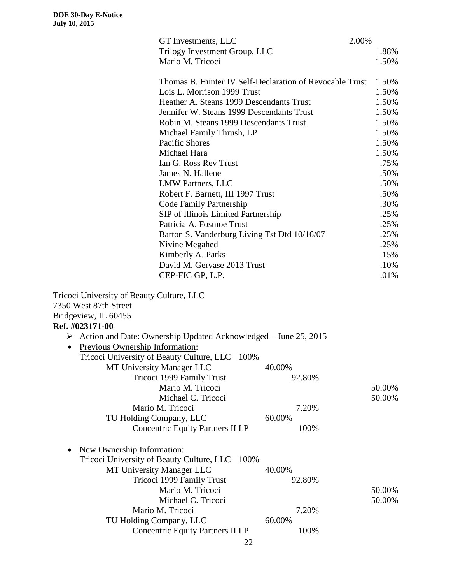| GT Investments, LLC                                                                                                                                  | 2.00%  |
|------------------------------------------------------------------------------------------------------------------------------------------------------|--------|
| Trilogy Investment Group, LLC                                                                                                                        | 1.88%  |
| Mario M. Tricoci                                                                                                                                     | 1.50%  |
| Thomas B. Hunter IV Self-Declaration of Revocable Trust                                                                                              | 1.50%  |
| Lois L. Morrison 1999 Trust                                                                                                                          | 1.50%  |
| Heather A. Steans 1999 Descendants Trust                                                                                                             | 1.50%  |
| Jennifer W. Steans 1999 Descendants Trust                                                                                                            | 1.50%  |
| Robin M. Steans 1999 Descendants Trust                                                                                                               | 1.50%  |
| Michael Family Thrush, LP                                                                                                                            | 1.50%  |
| <b>Pacific Shores</b>                                                                                                                                | 1.50%  |
| Michael Hara                                                                                                                                         | 1.50%  |
| Ian G. Ross Rev Trust                                                                                                                                | .75%   |
| James N. Hallene                                                                                                                                     | .50%   |
| LMW Partners, LLC                                                                                                                                    | .50%   |
| Robert F. Barnett, III 1997 Trust                                                                                                                    | .50%   |
| Code Family Partnership                                                                                                                              | .30%   |
| SIP of Illinois Limited Partnership                                                                                                                  | .25%   |
| Patricia A. Fosmoe Trust                                                                                                                             | .25%   |
| Barton S. Vanderburg Living Tst Dtd 10/16/07                                                                                                         | .25%   |
| Nivine Megahed                                                                                                                                       | .25%   |
| Kimberly A. Parks                                                                                                                                    | .15%   |
| David M. Gervase 2013 Trust                                                                                                                          | .10%   |
| CEP-FIC GP, L.P.                                                                                                                                     | .01%   |
| 7350 West 87th Street<br>Bridgeview, IL 60455<br>Ref. #023171-00<br>$\triangleright$ Action and Date: Ownership Updated Acknowledged – June 25, 2015 |        |
| Previous Ownership Information:<br>$\bullet$                                                                                                         |        |
| Tricoci University of Beauty Culture, LLC 100%                                                                                                       |        |
| 40.00%<br>MT University Manager LLC                                                                                                                  |        |
| Tricoci 1999 Family Trust<br>92.80%                                                                                                                  |        |
| Mario M. Tricoci                                                                                                                                     | 50.00% |
| Michael C. Tricoci                                                                                                                                   | 50.00% |
| Mario M. Tricoci<br>7.20%                                                                                                                            |        |
| 60.00%<br>TU Holding Company, LLC                                                                                                                    |        |
| <b>Concentric Equity Partners II LP</b><br>100%                                                                                                      |        |
| <b>New Ownership Information:</b><br>$\bullet$                                                                                                       |        |
| Tricoci University of Beauty Culture, LLC<br>100%                                                                                                    |        |
| MT University Manager LLC<br>40.00%                                                                                                                  |        |
| Tricoci 1999 Family Trust<br>92.80%                                                                                                                  |        |
| Mario M. Tricoci                                                                                                                                     | 50.00% |
| Michael C. Tricoci                                                                                                                                   | 50.00% |
| Mario M. Tricoci<br>7.20%                                                                                                                            |        |
| 60.00%<br>TU Holding Company, LLC                                                                                                                    |        |
| <b>Concentric Equity Partners II LP</b><br>100%                                                                                                      |        |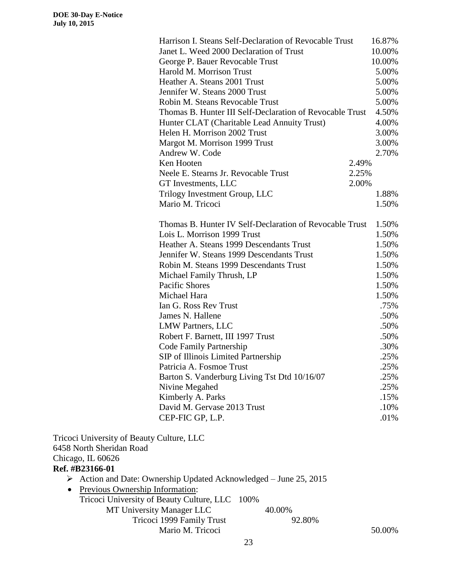|                                                                                                                                        | Harrison I. Steans Self-Declaration of Revocable Trust<br>Janet L. Weed 2000 Declaration of Trust<br>George P. Bauer Revocable Trust<br>Harold M. Morrison Trust |       | 16.87%<br>10.00%<br>10.00%<br>5.00% |
|----------------------------------------------------------------------------------------------------------------------------------------|------------------------------------------------------------------------------------------------------------------------------------------------------------------|-------|-------------------------------------|
|                                                                                                                                        | Heather A. Steans 2001 Trust                                                                                                                                     |       | 5.00%                               |
|                                                                                                                                        | Jennifer W. Steans 2000 Trust                                                                                                                                    |       | 5.00%                               |
|                                                                                                                                        | Robin M. Steans Revocable Trust                                                                                                                                  |       | 5.00%                               |
|                                                                                                                                        | Thomas B. Hunter III Self-Declaration of Revocable Trust                                                                                                         |       | 4.50%                               |
|                                                                                                                                        | Hunter CLAT (Charitable Lead Annuity Trust)                                                                                                                      |       | 4.00%                               |
|                                                                                                                                        | Helen H. Morrison 2002 Trust                                                                                                                                     |       | 3.00%                               |
|                                                                                                                                        | Margot M. Morrison 1999 Trust                                                                                                                                    |       | 3.00%                               |
|                                                                                                                                        | Andrew W. Code                                                                                                                                                   |       | 2.70%                               |
|                                                                                                                                        | Ken Hooten                                                                                                                                                       | 2.49% |                                     |
|                                                                                                                                        | Neele E. Stearns Jr. Revocable Trust                                                                                                                             | 2.25% |                                     |
|                                                                                                                                        | GT Investments, LLC                                                                                                                                              | 2.00% |                                     |
|                                                                                                                                        | Trilogy Investment Group, LLC                                                                                                                                    |       | 1.88%                               |
|                                                                                                                                        | Mario M. Tricoci                                                                                                                                                 |       | 1.50%                               |
|                                                                                                                                        | Thomas B. Hunter IV Self-Declaration of Revocable Trust                                                                                                          |       | 1.50%                               |
|                                                                                                                                        | Lois L. Morrison 1999 Trust                                                                                                                                      |       | 1.50%                               |
|                                                                                                                                        | Heather A. Steans 1999 Descendants Trust                                                                                                                         |       | 1.50%                               |
|                                                                                                                                        | Jennifer W. Steans 1999 Descendants Trust                                                                                                                        |       | 1.50%                               |
|                                                                                                                                        | Robin M. Steans 1999 Descendants Trust                                                                                                                           |       | 1.50%                               |
|                                                                                                                                        | Michael Family Thrush, LP                                                                                                                                        |       | 1.50%                               |
|                                                                                                                                        | Pacific Shores                                                                                                                                                   |       | 1.50%                               |
|                                                                                                                                        | Michael Hara                                                                                                                                                     |       | 1.50%                               |
|                                                                                                                                        | Ian G. Ross Rev Trust                                                                                                                                            |       | .75%                                |
|                                                                                                                                        | James N. Hallene                                                                                                                                                 |       | .50%                                |
|                                                                                                                                        | <b>LMW Partners, LLC</b>                                                                                                                                         |       | .50%                                |
|                                                                                                                                        | Robert F. Barnett, III 1997 Trust                                                                                                                                |       | .50%                                |
|                                                                                                                                        | Code Family Partnership                                                                                                                                          |       | .30%                                |
|                                                                                                                                        | <b>SIP</b> of Illinois Limited Partnership                                                                                                                       |       | .25%                                |
|                                                                                                                                        | Patricia A. Fosmoe Trust                                                                                                                                         |       | .25%                                |
|                                                                                                                                        | Barton S. Vanderburg Living Tst Dtd 10/16/07                                                                                                                     |       | .25%                                |
|                                                                                                                                        | Nivine Megahed                                                                                                                                                   |       | .25%                                |
|                                                                                                                                        | Kimberly A. Parks                                                                                                                                                |       | .15%                                |
|                                                                                                                                        | David M. Gervase 2013 Trust                                                                                                                                      |       | .10%                                |
|                                                                                                                                        | CEP-FIC GP, L.P.                                                                                                                                                 |       | .01%                                |
| Tricoci University of Beauty Culture, LLC<br>6458 North Sheridan Road<br>Chicago, IL 60626<br>$\mathbf{D} \circ \mathbf{f}$ #D22166 01 |                                                                                                                                                                  |       |                                     |

|  | $\triangleright$ Action and Date: Ownership Updated Acknowledged – June 25, 2015 |  |  |  |  |
|--|----------------------------------------------------------------------------------|--|--|--|--|
|--|----------------------------------------------------------------------------------|--|--|--|--|

• Previous Ownership Information:

Chicago, IL 60626 **Ref. #B23166-01**

> Tricoci University of Beauty Culture, LLC 100% MT University Manager LLC 40.00%

Tricoci 1999 Family Trust 92.80%

Mario M. Tricoci 50.00%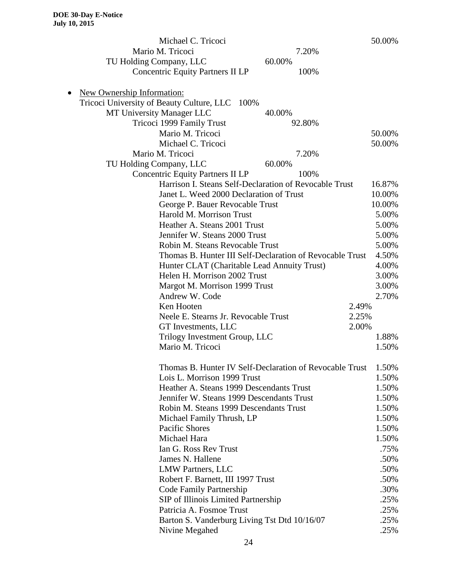| Michael C. Tricoci<br>50.00%<br>Mario M. Tricoci<br>7.20%<br>60.00%<br>TU Holding Company, LLC<br><b>Concentric Equity Partners II LP</b><br>100%<br><b>New Ownership Information:</b><br>Tricoci University of Beauty Culture, LLC<br>100%<br>MT University Manager LLC<br>40.00%<br>Tricoci 1999 Family Trust<br>92.80%<br>Mario M. Tricoci<br>50.00%<br>Michael C. Tricoci<br>50.00%<br>Mario M. Tricoci<br>7.20%<br>60.00%<br>TU Holding Company, LLC<br><b>Concentric Equity Partners II LP</b><br>100%<br>Harrison I. Steans Self-Declaration of Revocable Trust<br>16.87%<br>Janet L. Weed 2000 Declaration of Trust<br>10.00%<br>10.00%<br>George P. Bauer Revocable Trust<br>Harold M. Morrison Trust<br>5.00%<br>5.00%<br>Heather A. Steans 2001 Trust<br>5.00%<br>Jennifer W. Steans 2000 Trust<br>5.00%<br>Robin M. Steans Revocable Trust<br>4.50%<br>Thomas B. Hunter III Self-Declaration of Revocable Trust<br>Hunter CLAT (Charitable Lead Annuity Trust)<br>4.00%<br>Helen H. Morrison 2002 Trust<br>3.00%<br>3.00%<br>Margot M. Morrison 1999 Trust<br>Andrew W. Code<br>2.70%<br>Ken Hooten<br>2.49% |
|--------------------------------------------------------------------------------------------------------------------------------------------------------------------------------------------------------------------------------------------------------------------------------------------------------------------------------------------------------------------------------------------------------------------------------------------------------------------------------------------------------------------------------------------------------------------------------------------------------------------------------------------------------------------------------------------------------------------------------------------------------------------------------------------------------------------------------------------------------------------------------------------------------------------------------------------------------------------------------------------------------------------------------------------------------------------------------------------------------------------------|
|                                                                                                                                                                                                                                                                                                                                                                                                                                                                                                                                                                                                                                                                                                                                                                                                                                                                                                                                                                                                                                                                                                                          |
|                                                                                                                                                                                                                                                                                                                                                                                                                                                                                                                                                                                                                                                                                                                                                                                                                                                                                                                                                                                                                                                                                                                          |
|                                                                                                                                                                                                                                                                                                                                                                                                                                                                                                                                                                                                                                                                                                                                                                                                                                                                                                                                                                                                                                                                                                                          |
|                                                                                                                                                                                                                                                                                                                                                                                                                                                                                                                                                                                                                                                                                                                                                                                                                                                                                                                                                                                                                                                                                                                          |
|                                                                                                                                                                                                                                                                                                                                                                                                                                                                                                                                                                                                                                                                                                                                                                                                                                                                                                                                                                                                                                                                                                                          |
|                                                                                                                                                                                                                                                                                                                                                                                                                                                                                                                                                                                                                                                                                                                                                                                                                                                                                                                                                                                                                                                                                                                          |
|                                                                                                                                                                                                                                                                                                                                                                                                                                                                                                                                                                                                                                                                                                                                                                                                                                                                                                                                                                                                                                                                                                                          |
|                                                                                                                                                                                                                                                                                                                                                                                                                                                                                                                                                                                                                                                                                                                                                                                                                                                                                                                                                                                                                                                                                                                          |
|                                                                                                                                                                                                                                                                                                                                                                                                                                                                                                                                                                                                                                                                                                                                                                                                                                                                                                                                                                                                                                                                                                                          |
|                                                                                                                                                                                                                                                                                                                                                                                                                                                                                                                                                                                                                                                                                                                                                                                                                                                                                                                                                                                                                                                                                                                          |
|                                                                                                                                                                                                                                                                                                                                                                                                                                                                                                                                                                                                                                                                                                                                                                                                                                                                                                                                                                                                                                                                                                                          |
|                                                                                                                                                                                                                                                                                                                                                                                                                                                                                                                                                                                                                                                                                                                                                                                                                                                                                                                                                                                                                                                                                                                          |
|                                                                                                                                                                                                                                                                                                                                                                                                                                                                                                                                                                                                                                                                                                                                                                                                                                                                                                                                                                                                                                                                                                                          |
|                                                                                                                                                                                                                                                                                                                                                                                                                                                                                                                                                                                                                                                                                                                                                                                                                                                                                                                                                                                                                                                                                                                          |
|                                                                                                                                                                                                                                                                                                                                                                                                                                                                                                                                                                                                                                                                                                                                                                                                                                                                                                                                                                                                                                                                                                                          |
|                                                                                                                                                                                                                                                                                                                                                                                                                                                                                                                                                                                                                                                                                                                                                                                                                                                                                                                                                                                                                                                                                                                          |
|                                                                                                                                                                                                                                                                                                                                                                                                                                                                                                                                                                                                                                                                                                                                                                                                                                                                                                                                                                                                                                                                                                                          |
|                                                                                                                                                                                                                                                                                                                                                                                                                                                                                                                                                                                                                                                                                                                                                                                                                                                                                                                                                                                                                                                                                                                          |
|                                                                                                                                                                                                                                                                                                                                                                                                                                                                                                                                                                                                                                                                                                                                                                                                                                                                                                                                                                                                                                                                                                                          |
|                                                                                                                                                                                                                                                                                                                                                                                                                                                                                                                                                                                                                                                                                                                                                                                                                                                                                                                                                                                                                                                                                                                          |
|                                                                                                                                                                                                                                                                                                                                                                                                                                                                                                                                                                                                                                                                                                                                                                                                                                                                                                                                                                                                                                                                                                                          |
|                                                                                                                                                                                                                                                                                                                                                                                                                                                                                                                                                                                                                                                                                                                                                                                                                                                                                                                                                                                                                                                                                                                          |
|                                                                                                                                                                                                                                                                                                                                                                                                                                                                                                                                                                                                                                                                                                                                                                                                                                                                                                                                                                                                                                                                                                                          |
|                                                                                                                                                                                                                                                                                                                                                                                                                                                                                                                                                                                                                                                                                                                                                                                                                                                                                                                                                                                                                                                                                                                          |
|                                                                                                                                                                                                                                                                                                                                                                                                                                                                                                                                                                                                                                                                                                                                                                                                                                                                                                                                                                                                                                                                                                                          |
|                                                                                                                                                                                                                                                                                                                                                                                                                                                                                                                                                                                                                                                                                                                                                                                                                                                                                                                                                                                                                                                                                                                          |
| 2.25%<br>Neele E. Stearns Jr. Revocable Trust                                                                                                                                                                                                                                                                                                                                                                                                                                                                                                                                                                                                                                                                                                                                                                                                                                                                                                                                                                                                                                                                            |
| 2.00%<br>GT Investments, LLC                                                                                                                                                                                                                                                                                                                                                                                                                                                                                                                                                                                                                                                                                                                                                                                                                                                                                                                                                                                                                                                                                             |
| 1.88%<br>Trilogy Investment Group, LLC                                                                                                                                                                                                                                                                                                                                                                                                                                                                                                                                                                                                                                                                                                                                                                                                                                                                                                                                                                                                                                                                                   |
| Mario M. Tricoci<br>1.50%                                                                                                                                                                                                                                                                                                                                                                                                                                                                                                                                                                                                                                                                                                                                                                                                                                                                                                                                                                                                                                                                                                |
|                                                                                                                                                                                                                                                                                                                                                                                                                                                                                                                                                                                                                                                                                                                                                                                                                                                                                                                                                                                                                                                                                                                          |
| Thomas B. Hunter IV Self-Declaration of Revocable Trust<br>1.50%<br>Lois L. Morrison 1999 Trust                                                                                                                                                                                                                                                                                                                                                                                                                                                                                                                                                                                                                                                                                                                                                                                                                                                                                                                                                                                                                          |
| 1.50%<br>Heather A. Steans 1999 Descendants Trust<br>1.50%                                                                                                                                                                                                                                                                                                                                                                                                                                                                                                                                                                                                                                                                                                                                                                                                                                                                                                                                                                                                                                                               |
| Jennifer W. Steans 1999 Descendants Trust<br>1.50%                                                                                                                                                                                                                                                                                                                                                                                                                                                                                                                                                                                                                                                                                                                                                                                                                                                                                                                                                                                                                                                                       |
| Robin M. Steans 1999 Descendants Trust<br>1.50%                                                                                                                                                                                                                                                                                                                                                                                                                                                                                                                                                                                                                                                                                                                                                                                                                                                                                                                                                                                                                                                                          |
| Michael Family Thrush, LP<br>1.50%                                                                                                                                                                                                                                                                                                                                                                                                                                                                                                                                                                                                                                                                                                                                                                                                                                                                                                                                                                                                                                                                                       |
| Pacific Shores<br>1.50%                                                                                                                                                                                                                                                                                                                                                                                                                                                                                                                                                                                                                                                                                                                                                                                                                                                                                                                                                                                                                                                                                                  |
| Michael Hara<br>1.50%                                                                                                                                                                                                                                                                                                                                                                                                                                                                                                                                                                                                                                                                                                                                                                                                                                                                                                                                                                                                                                                                                                    |
| Ian G. Ross Rev Trust<br>.75%                                                                                                                                                                                                                                                                                                                                                                                                                                                                                                                                                                                                                                                                                                                                                                                                                                                                                                                                                                                                                                                                                            |
| James N. Hallene<br>.50%                                                                                                                                                                                                                                                                                                                                                                                                                                                                                                                                                                                                                                                                                                                                                                                                                                                                                                                                                                                                                                                                                                 |
| .50%<br><b>LMW Partners, LLC</b>                                                                                                                                                                                                                                                                                                                                                                                                                                                                                                                                                                                                                                                                                                                                                                                                                                                                                                                                                                                                                                                                                         |
| Robert F. Barnett, III 1997 Trust<br>.50%                                                                                                                                                                                                                                                                                                                                                                                                                                                                                                                                                                                                                                                                                                                                                                                                                                                                                                                                                                                                                                                                                |
| Code Family Partnership<br>.30%                                                                                                                                                                                                                                                                                                                                                                                                                                                                                                                                                                                                                                                                                                                                                                                                                                                                                                                                                                                                                                                                                          |
| SIP of Illinois Limited Partnership<br>.25%                                                                                                                                                                                                                                                                                                                                                                                                                                                                                                                                                                                                                                                                                                                                                                                                                                                                                                                                                                                                                                                                              |
| Patricia A. Fosmoe Trust<br>.25%                                                                                                                                                                                                                                                                                                                                                                                                                                                                                                                                                                                                                                                                                                                                                                                                                                                                                                                                                                                                                                                                                         |
| Barton S. Vanderburg Living Tst Dtd 10/16/07<br>.25%                                                                                                                                                                                                                                                                                                                                                                                                                                                                                                                                                                                                                                                                                                                                                                                                                                                                                                                                                                                                                                                                     |
| Nivine Megahed<br>.25%                                                                                                                                                                                                                                                                                                                                                                                                                                                                                                                                                                                                                                                                                                                                                                                                                                                                                                                                                                                                                                                                                                   |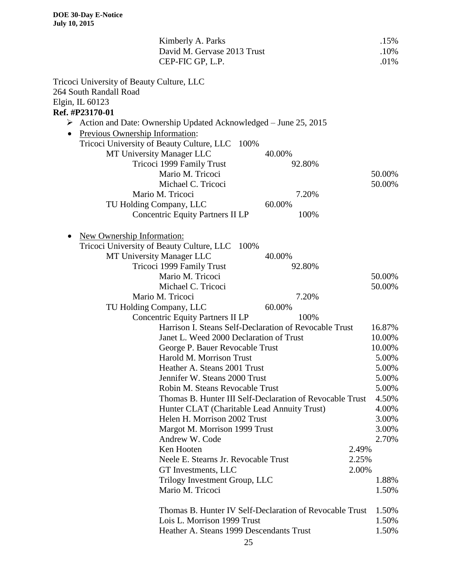| Kimberly A. Parks                                                    | .15%   |
|----------------------------------------------------------------------|--------|
| David M. Gervase 2013 Trust                                          | .10%   |
| CEP-FIC GP, L.P.                                                     | .01%   |
| Tricoci University of Beauty Culture, LLC                            |        |
| 264 South Randall Road                                               |        |
| Elgin, IL 60123                                                      |        |
| Ref. #P23170-01                                                      |        |
| Action and Date: Ownership Updated Acknowledged - June 25, 2015<br>➤ |        |
| Previous Ownership Information:<br>$\bullet$                         |        |
| Tricoci University of Beauty Culture, LLC 100%                       |        |
| MT University Manager LLC<br>40.00%                                  |        |
| Tricoci 1999 Family Trust<br>92.80%                                  |        |
| Mario M. Tricoci                                                     | 50.00% |
| Michael C. Tricoci                                                   | 50.00% |
| Mario M. Tricoci<br>7.20%                                            |        |
| 60.00%<br>TU Holding Company, LLC                                    |        |
| <b>Concentric Equity Partners II LP</b><br>100%                      |        |
| New Ownership Information:<br>$\bullet$                              |        |
| Tricoci University of Beauty Culture, LLC<br>100%                    |        |
| MT University Manager LLC<br>40.00%                                  |        |
| Tricoci 1999 Family Trust<br>92.80%                                  |        |
| Mario M. Tricoci                                                     | 50.00% |
| Michael C. Tricoci                                                   | 50.00% |
| Mario M. Tricoci<br>7.20%                                            |        |
| TU Holding Company, LLC<br>60.00%                                    |        |
| 100%<br><b>Concentric Equity Partners II LP</b>                      |        |
| Harrison I. Steans Self-Declaration of Revocable Trust               | 16.87% |
| Janet L. Weed 2000 Declaration of Trust                              | 10.00% |
| George P. Bauer Revocable Trust                                      | 10.00% |
| Harold M. Morrison Trust                                             | 5.00%  |
| Heather A. Steans 2001 Trust                                         | 5.00%  |
| Jennifer W. Steans 2000 Trust                                        | 5.00%  |
| Robin M. Steans Revocable Trust                                      | 5.00%  |
| Thomas B. Hunter III Self-Declaration of Revocable Trust             | 4.50%  |
| Hunter CLAT (Charitable Lead Annuity Trust)                          | 4.00%  |
| Helen H. Morrison 2002 Trust                                         | 3.00%  |
| Margot M. Morrison 1999 Trust                                        | 3.00%  |
| Andrew W. Code                                                       | 2.70%  |
| Ken Hooten<br>2.49%                                                  |        |
| 2.25%<br>Neele E. Stearns Jr. Revocable Trust                        |        |
| 2.00%<br>GT Investments, LLC                                         |        |
| Trilogy Investment Group, LLC                                        | 1.88%  |
| Mario M. Tricoci                                                     | 1.50%  |
|                                                                      |        |
| Thomas B. Hunter IV Self-Declaration of Revocable Trust              | 1.50%  |
| Lois L. Morrison 1999 Trust                                          | 1.50%  |
| Heather A. Steans 1999 Descendants Trust                             | 1.50%  |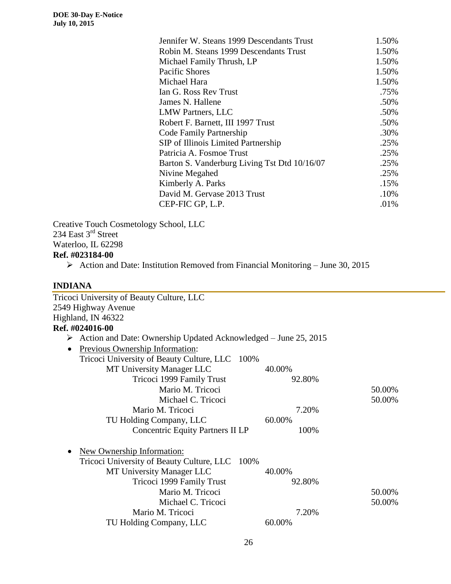| Jennifer W. Steans 1999 Descendants Trust    | 1.50% |
|----------------------------------------------|-------|
| Robin M. Steans 1999 Descendants Trust       | 1.50% |
| Michael Family Thrush, LP                    | 1.50% |
| Pacific Shores                               | 1.50% |
| Michael Hara                                 | 1.50% |
| Ian G. Ross Rev Trust                        | .75%  |
| James N. Hallene                             | .50%  |
| <b>LMW Partners, LLC</b>                     | .50%  |
| Robert F. Barnett, III 1997 Trust            | .50%  |
| Code Family Partnership                      | .30%  |
| <b>SIP</b> of Illinois Limited Partnership   | .25%  |
| Patricia A. Fosmoe Trust                     | .25%  |
| Barton S. Vanderburg Living Tst Dtd 10/16/07 | .25%  |
| Nivine Megahed                               | .25%  |
| Kimberly A. Parks                            | .15%  |
| David M. Gervase 2013 Trust                  | .10%  |
| CEP-FIC GP, L.P.                             | .01%  |

Creative Touch Cosmetology School, LLC 234 East 3<sup>rd</sup> Street Waterloo, IL 62298 **Ref. #023184-00**

Action and Date: Institution Removed from Financial Monitoring – June 30, 2015

# **INDIANA**

| 40.00% |                                                                                  |
|--------|----------------------------------------------------------------------------------|
| 92.80% |                                                                                  |
|        | 50.00%                                                                           |
|        | 50.00%                                                                           |
| 7.20%  |                                                                                  |
| 60.00% |                                                                                  |
| 100%   |                                                                                  |
|        |                                                                                  |
|        |                                                                                  |
| 40.00% |                                                                                  |
| 92.80% |                                                                                  |
|        | 50.00%                                                                           |
|        | 50.00%                                                                           |
| 7.20%  |                                                                                  |
| 60.00% |                                                                                  |
|        | $\triangleright$ Action and Date: Ownership Updated Acknowledged – June 25, 2015 |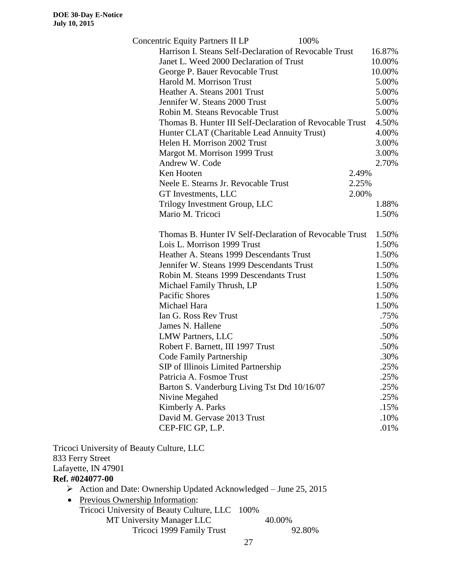| <b>Concentric Equity Partners II LP</b><br>100%          |        |
|----------------------------------------------------------|--------|
| Harrison I. Steans Self-Declaration of Revocable Trust   | 16.87% |
| Janet L. Weed 2000 Declaration of Trust                  | 10.00% |
| George P. Bauer Revocable Trust                          | 10.00% |
| Harold M. Morrison Trust                                 | 5.00%  |
| Heather A. Steans 2001 Trust                             | 5.00%  |
| Jennifer W. Steans 2000 Trust                            | 5.00%  |
| Robin M. Steans Revocable Trust                          | 5.00%  |
| Thomas B. Hunter III Self-Declaration of Revocable Trust | 4.50%  |
| Hunter CLAT (Charitable Lead Annuity Trust)              | 4.00%  |
| Helen H. Morrison 2002 Trust                             | 3.00%  |
| Margot M. Morrison 1999 Trust                            | 3.00%  |
| Andrew W. Code                                           | 2.70%  |
| Ken Hooten                                               | 2.49%  |
| Neele E. Stearns Jr. Revocable Trust                     | 2.25%  |
| GT Investments, LLC                                      | 2.00%  |
| Trilogy Investment Group, LLC                            | 1.88%  |
| Mario M. Tricoci                                         | 1.50%  |
| Thomas B. Hunter IV Self-Declaration of Revocable Trust  | 1.50%  |
| Lois L. Morrison 1999 Trust                              | 1.50%  |
| Heather A. Steans 1999 Descendants Trust                 | 1.50%  |
| Jennifer W. Steans 1999 Descendants Trust                | 1.50%  |
| Robin M. Steans 1999 Descendants Trust                   | 1.50%  |
| Michael Family Thrush, LP                                | 1.50%  |
| Pacific Shores                                           | 1.50%  |
| Michael Hara                                             | 1.50%  |
| Ian G. Ross Rev Trust                                    | .75%   |
| James N. Hallene                                         | .50%   |
| LMW Partners, LLC                                        | .50%   |
| Robert F. Barnett, III 1997 Trust                        | .50%   |
| <b>Code Family Partnership</b>                           | .30%   |
| SIP of Illinois Limited Partnership                      | .25%   |
| Patricia A. Fosmoe Trust                                 | .25%   |
| Barton S. Vanderburg Living Tst Dtd 10/16/07             | .25%   |
| Nivine Megahed                                           | .25%   |
| Kimberly A. Parks                                        | .15%   |
| David M. Gervase 2013 Trust                              | .10%   |
| CEP-FIC GP, L.P.                                         | .01%   |
|                                                          |        |

Tricoci University of Beauty Culture, LLC 833 Ferry Street Lafayette, IN 47901 **Ref. #024077-00**  $\triangleright$  Action and Date: Ownership Updated Acknowledged – June 25, 2015

- 
- Previous Ownership Information: Tricoci University of Beauty Culture, LLC 100% MT University Manager LLC 40.00% Tricoci 1999 Family Trust 92.80%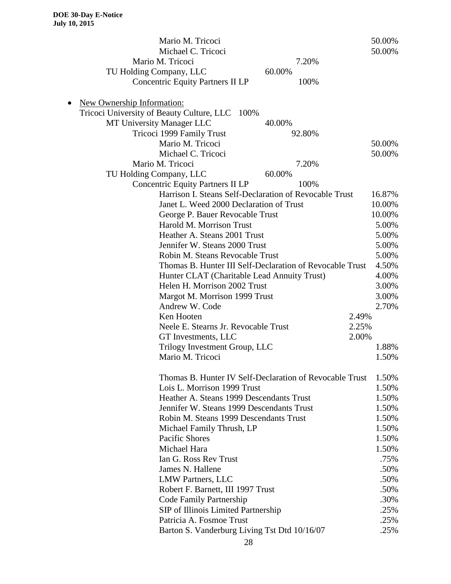|           | Mario M. Tricoci                                         | 50.00% |
|-----------|----------------------------------------------------------|--------|
|           | Michael C. Tricoci                                       | 50.00% |
|           | Mario M. Tricoci<br>7.20%                                |        |
|           | 60.00%<br>TU Holding Company, LLC                        |        |
|           | <b>Concentric Equity Partners II LP</b><br>100%          |        |
|           |                                                          |        |
| $\bullet$ | <b>New Ownership Information:</b>                        |        |
|           | Tricoci University of Beauty Culture, LLC<br>100%        |        |
|           | MT University Manager LLC<br>40.00%                      |        |
|           | Tricoci 1999 Family Trust<br>92.80%                      |        |
|           | Mario M. Tricoci                                         | 50.00% |
|           | Michael C. Tricoci                                       | 50.00% |
|           | Mario M. Tricoci<br>7.20%                                |        |
|           | 60.00%<br>TU Holding Company, LLC                        |        |
|           | <b>Concentric Equity Partners II LP</b><br>100%          |        |
|           | Harrison I. Steans Self-Declaration of Revocable Trust   | 16.87% |
|           | Janet L. Weed 2000 Declaration of Trust                  | 10.00% |
|           | George P. Bauer Revocable Trust                          | 10.00% |
|           | Harold M. Morrison Trust                                 | 5.00%  |
|           | Heather A. Steans 2001 Trust                             | 5.00%  |
|           | Jennifer W. Steans 2000 Trust                            | 5.00%  |
|           | Robin M. Steans Revocable Trust                          | 5.00%  |
|           | Thomas B. Hunter III Self-Declaration of Revocable Trust | 4.50%  |
|           | Hunter CLAT (Charitable Lead Annuity Trust)              | 4.00%  |
|           | Helen H. Morrison 2002 Trust                             | 3.00%  |
|           | Margot M. Morrison 1999 Trust                            | 3.00%  |
|           | Andrew W. Code                                           | 2.70%  |
|           | Ken Hooten<br>2.49%                                      |        |
|           | 2.25%<br>Neele E. Stearns Jr. Revocable Trust            |        |
|           | 2.00%<br>GT Investments, LLC                             |        |
|           | Trilogy Investment Group, LLC                            | 1.88%  |
|           | Mario M. Tricoci                                         | 1.50%  |
|           |                                                          |        |
|           | Thomas B. Hunter IV Self-Declaration of Revocable Trust  | 1.50%  |
|           | Lois L. Morrison 1999 Trust                              | 1.50%  |
|           | Heather A. Steans 1999 Descendants Trust                 | 1.50%  |
|           | Jennifer W. Steans 1999 Descendants Trust                | 1.50%  |
|           | Robin M. Steans 1999 Descendants Trust                   | 1.50%  |
|           | Michael Family Thrush, LP                                | 1.50%  |
|           | <b>Pacific Shores</b>                                    | 1.50%  |
|           | Michael Hara                                             | 1.50%  |
|           | Ian G. Ross Rev Trust                                    | .75%   |
|           | James N. Hallene                                         | .50%   |
|           | <b>LMW Partners, LLC</b>                                 | .50%   |
|           | Robert F. Barnett, III 1997 Trust                        | .50%   |
|           | Code Family Partnership                                  | .30%   |
|           | SIP of Illinois Limited Partnership                      | .25%   |
|           | Patricia A. Fosmoe Trust                                 | .25%   |
|           | Barton S. Vanderburg Living Tst Dtd 10/16/07             | .25%   |
|           |                                                          |        |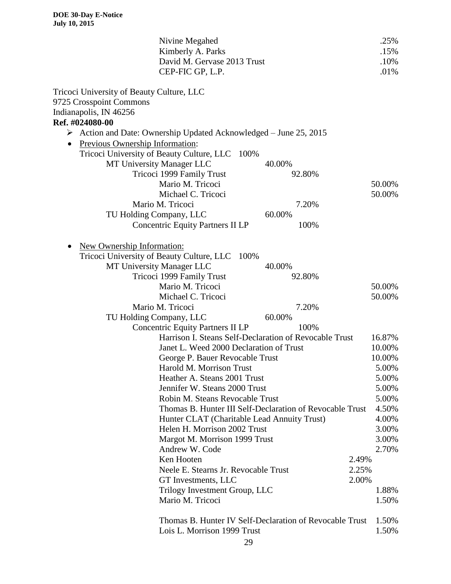| Nivine Megahed                                                    | .25%   |
|-------------------------------------------------------------------|--------|
| Kimberly A. Parks                                                 | .15%   |
| David M. Gervase 2013 Trust                                       | .10%   |
| CEP-FIC GP, L.P.                                                  | .01%   |
| Tricoci University of Beauty Culture, LLC                         |        |
| 9725 Crosspoint Commons                                           |        |
| Indianapolis, IN 46256                                            |        |
| Ref. #024080-00                                                   |        |
| > Action and Date: Ownership Updated Acknowledged - June 25, 2015 |        |
| Previous Ownership Information:                                   |        |
| Tricoci University of Beauty Culture, LLC<br>100%                 |        |
| MT University Manager LLC<br>40.00%                               |        |
| Tricoci 1999 Family Trust<br>92.80%                               |        |
| Mario M. Tricoci                                                  | 50.00% |
| Michael C. Tricoci                                                | 50.00% |
| 7.20%<br>Mario M. Tricoci                                         |        |
| 60.00%<br>TU Holding Company, LLC                                 |        |
| <b>Concentric Equity Partners II LP</b><br>100%                   |        |
| <b>New Ownership Information:</b><br>٠                            |        |
| Tricoci University of Beauty Culture, LLC<br>100%                 |        |
| MT University Manager LLC<br>40.00%                               |        |
| Tricoci 1999 Family Trust<br>92.80%                               |        |
| Mario M. Tricoci                                                  | 50.00% |
| Michael C. Tricoci                                                | 50.00% |
| Mario M. Tricoci<br>7.20%                                         |        |
| TU Holding Company, LLC<br>60.00%                                 |        |
| <b>Concentric Equity Partners II LP</b><br>100%                   |        |
| Harrison I. Steans Self-Declaration of Revocable Trust            | 16.87% |
| Janet L. Weed 2000 Declaration of Trust                           | 10.00% |
| George P. Bauer Revocable Trust                                   | 10.00% |
| Harold M. Morrison Trust                                          | 5.00%  |
| Heather A. Steans 2001 Trust                                      | 5.00%  |
| Jennifer W. Steans 2000 Trust                                     | 5.00%  |
| Robin M. Steans Revocable Trust                                   | 5.00%  |
| Thomas B. Hunter III Self-Declaration of Revocable Trust          | 4.50%  |
| Hunter CLAT (Charitable Lead Annuity Trust)                       | 4.00%  |
| Helen H. Morrison 2002 Trust                                      | 3.00%  |
| Margot M. Morrison 1999 Trust                                     | 3.00%  |
| Andrew W. Code                                                    | 2.70%  |
| Ken Hooten<br>2.49%                                               |        |
| Neele E. Stearns Jr. Revocable Trust<br>2.25%                     |        |
| 2.00%<br>GT Investments, LLC                                      |        |
| Trilogy Investment Group, LLC                                     | 1.88%  |
| Mario M. Tricoci                                                  | 1.50%  |
| Thomas B. Hunter IV Self-Declaration of Revocable Trust           | 1.50%  |
| Lois L. Morrison 1999 Trust                                       | 1.50%  |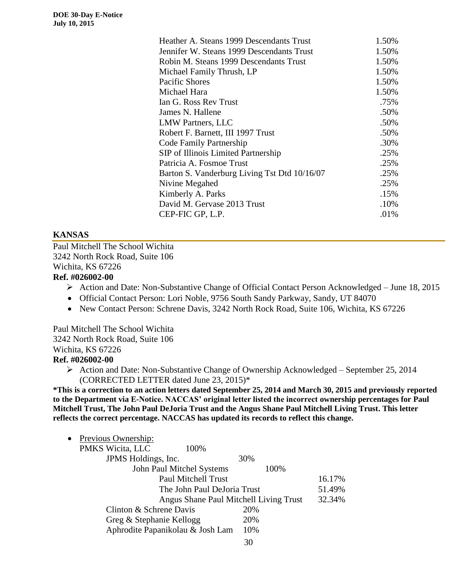| Heather A. Steans 1999 Descendants Trust     | 1.50% |
|----------------------------------------------|-------|
| Jennifer W. Steans 1999 Descendants Trust    | 1.50% |
| Robin M. Steans 1999 Descendants Trust       | 1.50% |
| Michael Family Thrush, LP                    | 1.50% |
| Pacific Shores                               | 1.50% |
| Michael Hara                                 | 1.50% |
| Ian G. Ross Rev Trust                        | .75%  |
| James N. Hallene                             | .50%  |
| <b>LMW Partners, LLC</b>                     | .50%  |
| Robert F. Barnett, III 1997 Trust            | .50%  |
| Code Family Partnership                      | .30%  |
| SIP of Illinois Limited Partnership          | .25%  |
| Patricia A. Fosmoe Trust                     | .25%  |
| Barton S. Vanderburg Living Tst Dtd 10/16/07 | .25%  |
| Nivine Megahed                               | .25%  |
| Kimberly A. Parks                            | .15%  |
| David M. Gervase 2013 Trust                  | .10%  |
| CEP-FIC GP, L.P.                             | .01%  |

#### **KANSAS**

Paul Mitchell The School Wichita 3242 North Rock Road, Suite 106 Wichita, KS 67226 **Ref. #026002-00**

- Action and Date: Non-Substantive Change of Official Contact Person Acknowledged June 18, 2015
- Official Contact Person: Lori Noble, 9756 South Sandy Parkway, Sandy, UT 84070
- New Contact Person: Schrene Davis, 3242 North Rock Road, Suite 106, Wichita, KS 67226

Paul Mitchell The School Wichita 3242 North Rock Road, Suite 106 Wichita, KS 67226 **Ref. #026002-00**

 Action and Date: Non-Substantive Change of Ownership Acknowledged – September 25, 2014 (CORRECTED LETTER dated June 23, 2015)\*

**\*This is a correction to an action letters dated September 25, 2014 and March 30, 2015 and previously reported to the Department via E-Notice. NACCAS' original letter listed the incorrect ownership percentages for Paul Mitchell Trust, The John Paul DeJoria Trust and the Angus Shane Paul Mitchell Living Trust. This letter reflects the correct percentage. NACCAS has updated its records to reflect this change.**

| • Previous Ownership:            |                                                  |
|----------------------------------|--------------------------------------------------|
| PMKS Wicita, LLC<br>100%         |                                                  |
| JPMS Holdings, Inc.              | 30%                                              |
| John Paul Mitchel Systems        | 100%                                             |
| <b>Paul Mitchell Trust</b>       | 16.17%                                           |
| The John Paul DeJoria Trust      | 51.49%                                           |
|                                  | 32.34%<br>Angus Shane Paul Mitchell Living Trust |
| Clinton & Schrene Davis          | 20%                                              |
| Greg & Stephanie Kellogg         | 20%                                              |
| Aphrodite Papanikolau & Josh Lam | 10%                                              |
|                                  | $\cap$                                           |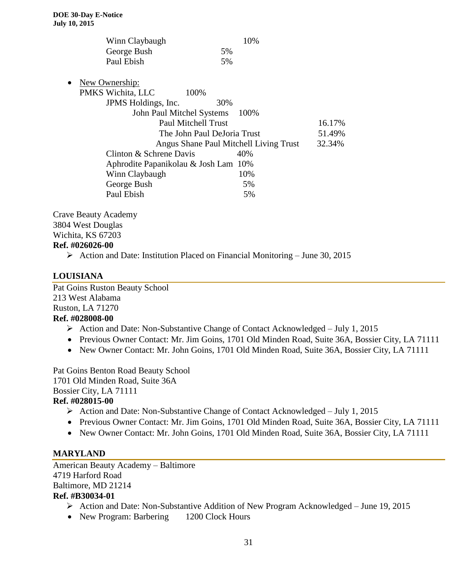| Winn Claybaugh                       | 10%                                    |        |
|--------------------------------------|----------------------------------------|--------|
| George Bush                          | 5%                                     |        |
| Paul Ebish                           | 5%                                     |        |
| New Ownership:                       |                                        |        |
| 100%<br>PMKS Wichita, LLC            |                                        |        |
| JPMS Holdings, Inc.                  | 30%                                    |        |
| John Paul Mitchel Systems            | 100%                                   |        |
| <b>Paul Mitchell Trust</b>           |                                        | 16.17% |
|                                      | The John Paul DeJoria Trust            | 51.49% |
|                                      | Angus Shane Paul Mitchell Living Trust | 32.34% |
| Clinton & Schrene Davis              | 40%                                    |        |
| Aphrodite Papanikolau & Josh Lam 10% |                                        |        |
| Winn Claybaugh                       | 10%                                    |        |
| George Bush                          | 5%                                     |        |
| Paul Ebish                           | 5%                                     |        |
|                                      |                                        |        |

Crave Beauty Academy 3804 West Douglas Wichita, KS 67203 **Ref. #026026-00**

 $\triangleright$  Action and Date: Institution Placed on Financial Monitoring – June 30, 2015

# **LOUISIANA**

Pat Goins Ruston Beauty School 213 West Alabama Ruston, LA 71270 **Ref. #028008-00**

- $\triangleright$  Action and Date: Non-Substantive Change of Contact Acknowledged July 1, 2015
- Previous Owner Contact: Mr. Jim Goins, 1701 Old Minden Road, Suite 36A, Bossier City, LA 71111
- New Owner Contact: Mr. John Goins, 1701 Old Minden Road, Suite 36A, Bossier City, LA 71111

Pat Goins Benton Road Beauty School 1701 Old Minden Road, Suite 36A Bossier City, LA 71111 **Ref. #028015-00**

# $\triangleright$  Action and Date: Non-Substantive Change of Contact Acknowledged – July 1, 2015

- Previous Owner Contact: Mr. Jim Goins, 1701 Old Minden Road, Suite 36A, Bossier City, LA 71111
- New Owner Contact: Mr. John Goins, 1701 Old Minden Road, Suite 36A, Bossier City, LA 71111

# **MARYLAND**

American Beauty Academy – Baltimore 4719 Harford Road Baltimore, MD 21214

# **Ref. #B30034-01**

- Action and Date: Non-Substantive Addition of New Program Acknowledged June 19, 2015
- New Program: Barbering 1200 Clock Hours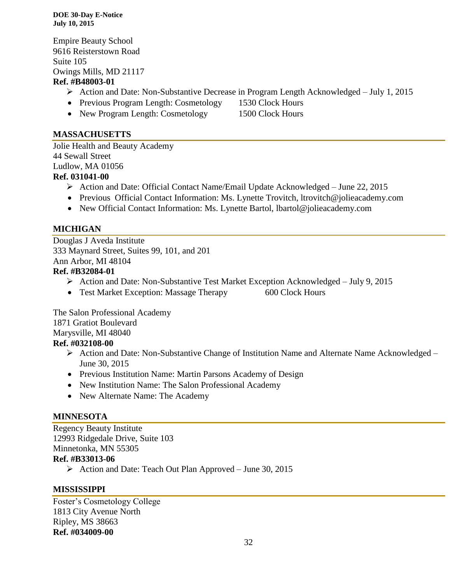Empire Beauty School 9616 Reisterstown Road Suite 105 Owings Mills, MD 21117 **Ref. #B48003-01**

- Action and Date: Non-Substantive Decrease in Program Length Acknowledged July 1, 2015
- Previous Program Length: Cosmetology 1530 Clock Hours • New Program Length: Cosmetology 1500 Clock Hours
	-

**MASSACHUSETTS**

Jolie Health and Beauty Academy 44 Sewall Street Ludlow, MA 01056

# **Ref. 031041-00**

- Action and Date: Official Contact Name/Email Update Acknowledged June 22, 2015
- Previous Official Contact Information: Ms. Lynette Trovitch, ltrovitch@jolieacademy.com
- New Official Contact Information: Ms. Lynette Bartol, lbartol@jolieacademy.com

#### **MICHIGAN**

Douglas J Aveda Institute 333 Maynard Street, Suites 99, 101, and 201 Ann Arbor, MI 48104

#### **Ref. #B32084-01**

- Action and Date: Non-Substantive Test Market Exception Acknowledged July 9, 2015
- Test Market Exception: Massage Therapy 600 Clock Hours

The Salon Professional Academy 1871 Gratiot Boulevard Marysville, MI 48040 **Ref. #032108-00**

- Action and Date: Non-Substantive Change of Institution Name and Alternate Name Acknowledged June 30, 2015
- Previous Institution Name: Martin Parsons Academy of Design
- New Institution Name: The Salon Professional Academy
- New Alternate Name: The Academy

#### **MINNESOTA**

Regency Beauty Institute 12993 Ridgedale Drive, Suite 103 Minnetonka, MN 55305 **Ref. #B33013-06**

 $\triangleright$  Action and Date: Teach Out Plan Approved – June 30, 2015

#### **MISSISSIPPI**

Foster's Cosmetology College 1813 City Avenue North Ripley, MS 38663 **Ref. #034009-00**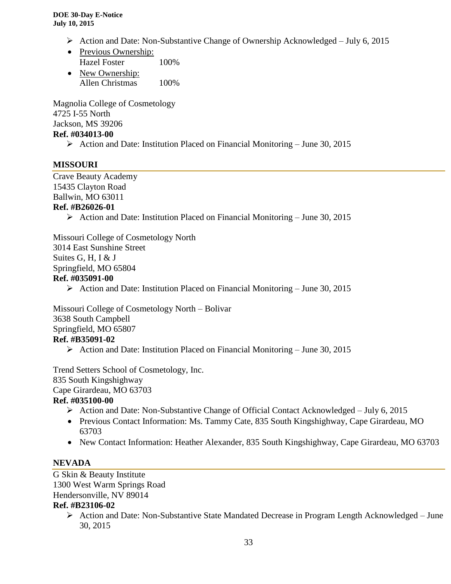- Action and Date: Non-Substantive Change of Ownership Acknowledged July 6, 2015
- Previous Ownership: Hazel Foster 100%
- New Ownership: Allen Christmas 100%

Magnolia College of Cosmetology 4725 I-55 North Jackson, MS 39206

# **Ref. #034013-00**

Action and Date: Institution Placed on Financial Monitoring – June 30, 2015

# **MISSOURI**

Crave Beauty Academy 15435 Clayton Road Ballwin, MO 63011

#### **Ref. #B26026-01**

 $\triangleright$  Action and Date: Institution Placed on Financial Monitoring – June 30, 2015

Missouri College of Cosmetology North 3014 East Sunshine Street Suites G, H, I  $& J$ Springfield, MO 65804 **Ref. #035091-00**

Action and Date: Institution Placed on Financial Monitoring – June 30, 2015

Missouri College of Cosmetology North – Bolivar 3638 South Campbell Springfield, MO 65807 **Ref. #B35091-02**

Action and Date: Institution Placed on Financial Monitoring – June 30, 2015

Trend Setters School of Cosmetology, Inc. 835 South Kingshighway Cape Girardeau, MO 63703

#### **Ref. #035100-00**

- Action and Date: Non-Substantive Change of Official Contact Acknowledged July 6, 2015
- Previous Contact Information: Ms. Tammy Cate, 835 South Kingshighway, Cape Girardeau, MO 63703
- New Contact Information: Heather Alexander, 835 South Kingshighway, Cape Girardeau, MO 63703

#### **NEVADA**

G Skin & Beauty Institute 1300 West Warm Springs Road Hendersonville, NV 89014

#### **Ref. #B23106-02**

 Action and Date: Non-Substantive State Mandated Decrease in Program Length Acknowledged – June 30, 2015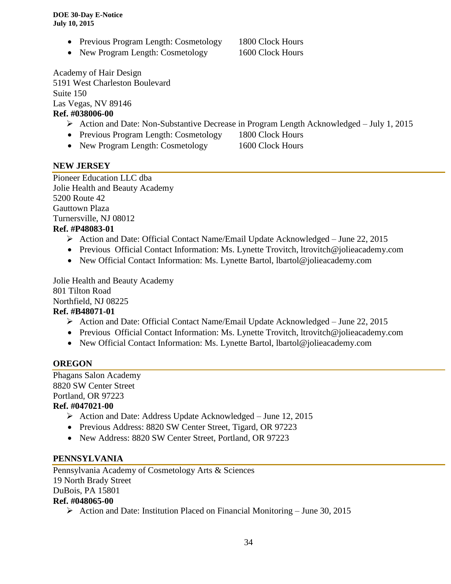- Previous Program Length: Cosmetology 1800 Clock Hours
- New Program Length: Cosmetology 1600 Clock Hours

Academy of Hair Design 5191 West Charleston Boulevard Suite 150

Las Vegas, NV 89146

# **Ref. #038006-00**

- $\triangleright$  Action and Date: Non-Substantive Decrease in Program Length Acknowledged July 1, 2015
- Previous Program Length: Cosmetology 1800 Clock Hours
- New Program Length: Cosmetology 1600 Clock Hours

# **NEW JERSEY**

Pioneer Education LLC dba Jolie Health and Beauty Academy 5200 Route 42 Gauttown Plaza Turnersville, NJ 08012

#### **Ref. #P48083-01**

- $\triangleright$  Action and Date: Official Contact Name/Email Update Acknowledged June 22, 2015
- Previous Official Contact Information: Ms. Lynette Trovitch, ltrovitch@jolieacademy.com
- New Official Contact Information: Ms. Lynette Bartol, lbartol@jolieacademy.com

Jolie Health and Beauty Academy 801 Tilton Road Northfield, NJ 08225

# **Ref. #B48071-01**

- Action and Date: Official Contact Name/Email Update Acknowledged June 22, 2015
- Previous Official Contact Information: Ms. Lynette Trovitch, ltrovitch@jolieacademy.com
- New Official Contact Information: Ms. Lynette Bartol, lbartol@jolieacademy.com

#### **OREGON**

Phagans Salon Academy 8820 SW Center Street Portland, OR 97223

#### **Ref. #047021-00**

- $\triangleright$  Action and Date: Address Update Acknowledged June 12, 2015
- Previous Address: 8820 SW Center Street, Tigard, OR 97223
- New Address: 8820 SW Center Street, Portland, OR 97223

#### **PENNSYLVANIA**

Pennsylvania Academy of Cosmetology Arts & Sciences 19 North Brady Street DuBois, PA 15801 **Ref. #048065-00**

 $\triangleright$  Action and Date: Institution Placed on Financial Monitoring – June 30, 2015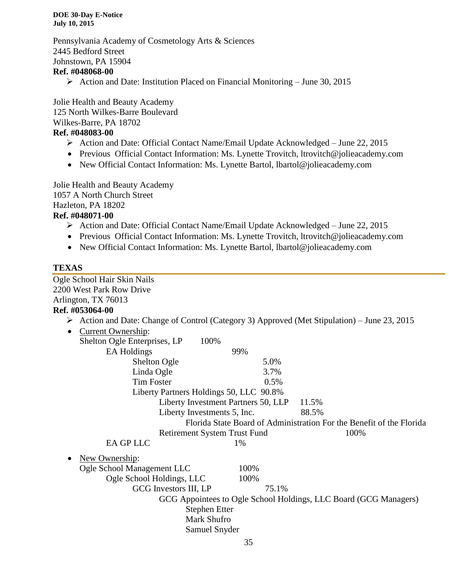Pennsylvania Academy of Cosmetology Arts & Sciences 2445 Bedford Street Johnstown, PA 15904

#### **Ref. #048068-00**

 $\triangleright$  Action and Date: Institution Placed on Financial Monitoring – June 30, 2015

Jolie Health and Beauty Academy 125 North Wilkes-Barre Boulevard Wilkes-Barre, PA 18702

#### **Ref. #048083-00**

- Action and Date: Official Contact Name/Email Update Acknowledged June 22, 2015
- Previous Official Contact Information: Ms. Lynette Trovitch, ltrovitch@jolieacademy.com
- New Official Contact Information: Ms. Lynette Bartol, lbartol@jolieacademy.com

Jolie Health and Beauty Academy 1057 A North Church Street Hazleton, PA 18202 **Ref. #048071-00**

- Action and Date: Official Contact Name/Email Update Acknowledged June 22, 2015
- Previous Official Contact Information: Ms. Lynette Trovitch, ltrovitch@jolieacademy.com
- New Official Contact Information: Ms. Lynette Bartol, lbartol@jolieacademy.com

#### **TEXAS**

| Ogle School Hair Skin Nails                                                                     |                                         |                                                                      |
|-------------------------------------------------------------------------------------------------|-----------------------------------------|----------------------------------------------------------------------|
| 2200 West Park Row Drive                                                                        |                                         |                                                                      |
| Arlington, TX 76013                                                                             |                                         |                                                                      |
| Ref. #053064-00                                                                                 |                                         |                                                                      |
| Action and Date: Change of Control (Category 3) Approved (Met Stipulation) – June 23, 2015<br>➤ |                                         |                                                                      |
| Current Ownership:                                                                              |                                         |                                                                      |
| Shelton Ogle Enterprises, LP                                                                    | 100%                                    |                                                                      |
| <b>EA</b> Holdings                                                                              | 99%                                     |                                                                      |
| Shelton Ogle                                                                                    | 5.0%                                    |                                                                      |
| Linda Ogle                                                                                      | 3.7%                                    |                                                                      |
| <b>Tim Foster</b>                                                                               | 0.5%                                    |                                                                      |
|                                                                                                 | Liberty Partners Holdings 50, LLC 90.8% |                                                                      |
|                                                                                                 | Liberty Investment Partners 50, LLP     | 11.5%                                                                |
|                                                                                                 | Liberty Investments 5, Inc.             | 88.5%                                                                |
|                                                                                                 |                                         | Florida State Board of Administration For the Benefit of the Florida |
|                                                                                                 | Retirement System Trust Fund            | 100%                                                                 |
| <b>EA GP LLC</b>                                                                                | 1%                                      |                                                                      |
| New Ownership:                                                                                  |                                         |                                                                      |
| Ogle School Management LLC                                                                      | 100%                                    |                                                                      |
| Ogle School Holdings, LLC                                                                       | 100%                                    |                                                                      |
| GCG Investors III, LP                                                                           | 75.1%                                   |                                                                      |
|                                                                                                 |                                         | GCG Appointees to Ogle School Holdings, LLC Board (GCG Managers)     |
|                                                                                                 | Stephen Etter                           |                                                                      |
|                                                                                                 | Mark Shufro                             |                                                                      |
|                                                                                                 | Samuel Snyder                           |                                                                      |
|                                                                                                 | $\Omega$                                |                                                                      |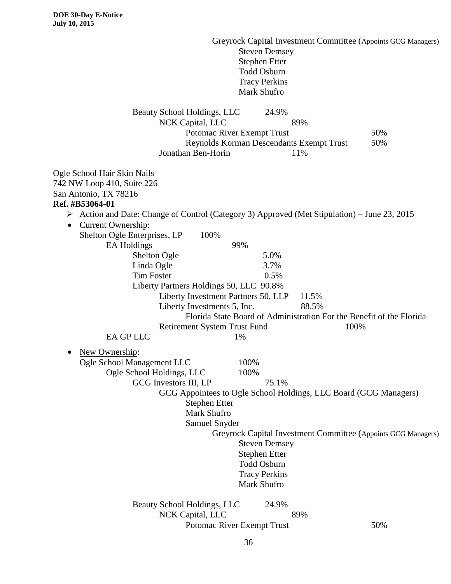Greyrock Capital Investment Committee (Appoints GCG Managers) Steven Demsey Stephen Etter Todd Osburn Tracy Perkins Mark Shufro Beauty School Holdings, LLC 24.9% NCK Capital, LLC 89% Potomac River Exempt Trust 50% Reynolds Korman Descendants Exempt Trust 50% Jonathan Ben-Horin 11% Ogle School Hair Skin Nails 742 NW Loop 410, Suite 226 San Antonio, TX 78216 **Ref. #B53064-01**  $\triangleright$  Action and Date: Change of Control (Category 3) Approved (Met Stipulation) – June 23, 2015 • Current Ownership: Shelton Ogle Enterprises, LP 100% EA Holdings 99% Shelton Ogle 5.0% Linda Ogle 3.7% Tim Foster 0.5% Liberty Partners Holdings 50, LLC 90.8% Liberty Investment Partners 50, LLP 11.5% Liberty Investments 5, Inc. 88.5% Florida State Board of Administration For the Benefit of the Florida Retirement System Trust Fund 100% EA GP LLC 1% New Ownership: Ogle School Management LLC 100% Ogle School Holdings, LLC 100% GCG Investors III, LP 75.1% GCG Appointees to Ogle School Holdings, LLC Board (GCG Managers) Stephen Etter Mark Shufro Samuel Snyder Greyrock Capital Investment Committee (Appoints GCG Managers)

Steven Demsey Stephen Etter Todd Osburn Tracy Perkins Mark Shufro

Beauty School Holdings, LLC 24.9% NCK Capital, LLC 89% Potomac River Exempt Trust 50%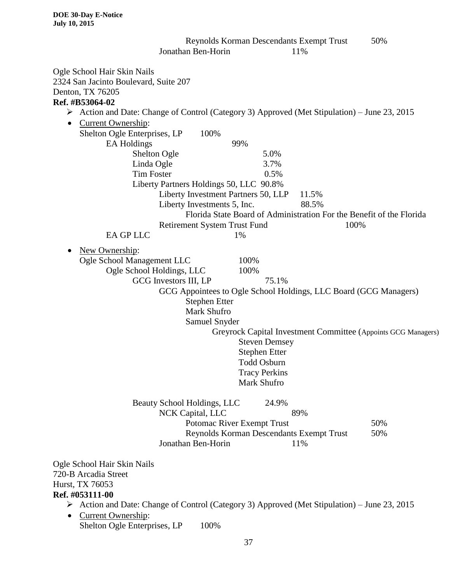Reynolds Korman Descendants Exempt Trust 50% Jonathan Ben-Horin 11% Ogle School Hair Skin Nails 2324 San Jacinto Boulevard, Suite 207 Denton, TX 76205 **Ref. #B53064-02**  $\triangleright$  Action and Date: Change of Control (Category 3) Approved (Met Stipulation) – June 23, 2015 • Current Ownership: Shelton Ogle Enterprises, LP 100% EA Holdings 99% Shelton Ogle 5.0% Linda Ogle 3.7% Tim Foster 0.5% Liberty Partners Holdings 50, LLC 90.8% Liberty Investment Partners 50, LLP 11.5% Liberty Investments 5, Inc. 88.5% Florida State Board of Administration For the Benefit of the Florida Retirement System Trust Fund 100% EA GP LLC 1% • New Ownership: Ogle School Management LLC 100% Ogle School Holdings, LLC 100% GCG Investors III, LP 75.1% GCG Appointees to Ogle School Holdings, LLC Board (GCG Managers) Stephen Etter Mark Shufro Samuel Snyder Greyrock Capital Investment Committee (Appoints GCG Managers) Steven Demsey Stephen Etter Todd Osburn Tracy Perkins Mark Shufro Beauty School Holdings, LLC 24.9% NCK Capital, LLC 89% Potomac River Exempt Trust 50% Reynolds Korman Descendants Exempt Trust 50% Jonathan Ben-Horin 11% Ogle School Hair Skin Nails 720-B Arcadia Street Hurst, TX 76053

#### **Ref. #053111-00**

- Action and Date: Change of Control (Category 3) Approved (Met Stipulation) June 23, 2015
- Current Ownership: Shelton Ogle Enterprises, LP 100%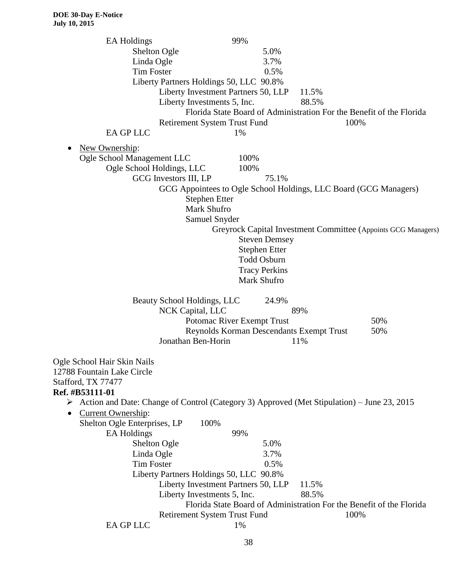| <b>EA</b> Holdings                                                                                          |                                                                  | 99%                                      |       |                                                                      |
|-------------------------------------------------------------------------------------------------------------|------------------------------------------------------------------|------------------------------------------|-------|----------------------------------------------------------------------|
|                                                                                                             | Shelton Ogle                                                     | 5.0%                                     |       |                                                                      |
| Linda Ogle                                                                                                  |                                                                  | 3.7%                                     |       |                                                                      |
| <b>Tim Foster</b>                                                                                           |                                                                  | 0.5%                                     |       |                                                                      |
|                                                                                                             | Liberty Partners Holdings 50, LLC 90.8%                          |                                          |       |                                                                      |
|                                                                                                             | Liberty Investment Partners 50, LLP                              |                                          | 11.5% |                                                                      |
|                                                                                                             | Liberty Investments 5, Inc.                                      |                                          | 88.5% |                                                                      |
|                                                                                                             |                                                                  |                                          |       | Florida State Board of Administration For the Benefit of the Florida |
|                                                                                                             | Retirement System Trust Fund                                     |                                          |       | 100%                                                                 |
| EA GP LLC                                                                                                   |                                                                  | 1%                                       |       |                                                                      |
| New Ownership:                                                                                              |                                                                  |                                          |       |                                                                      |
| Ogle School Management LLC                                                                                  |                                                                  | 100%                                     |       |                                                                      |
|                                                                                                             | Ogle School Holdings, LLC                                        | 100%                                     |       |                                                                      |
|                                                                                                             | GCG Investors III, LP                                            | 75.1%                                    |       |                                                                      |
|                                                                                                             | GCG Appointees to Ogle School Holdings, LLC Board (GCG Managers) |                                          |       |                                                                      |
|                                                                                                             | <b>Stephen Etter</b>                                             |                                          |       |                                                                      |
|                                                                                                             | Mark Shufro                                                      |                                          |       |                                                                      |
|                                                                                                             | Samuel Snyder                                                    |                                          |       |                                                                      |
|                                                                                                             |                                                                  |                                          |       | Greyrock Capital Investment Committee (Appoints GCG Managers)        |
|                                                                                                             |                                                                  | <b>Steven Demsey</b>                     |       |                                                                      |
|                                                                                                             |                                                                  | <b>Stephen Etter</b>                     |       |                                                                      |
|                                                                                                             |                                                                  | <b>Todd Osburn</b>                       |       |                                                                      |
|                                                                                                             |                                                                  | <b>Tracy Perkins</b>                     |       |                                                                      |
|                                                                                                             |                                                                  | Mark Shufro                              |       |                                                                      |
|                                                                                                             |                                                                  |                                          |       |                                                                      |
|                                                                                                             | Beauty School Holdings, LLC                                      | 24.9%                                    |       |                                                                      |
|                                                                                                             | NCK Capital, LLC                                                 |                                          | 89%   |                                                                      |
|                                                                                                             |                                                                  | Potomac River Exempt Trust               |       | 50%                                                                  |
|                                                                                                             |                                                                  | Reynolds Korman Descendants Exempt Trust |       | 50%                                                                  |
|                                                                                                             | Jonathan Ben-Horin                                               |                                          | 11%   |                                                                      |
|                                                                                                             |                                                                  |                                          |       |                                                                      |
| Ogle School Hair Skin Nails                                                                                 |                                                                  |                                          |       |                                                                      |
| 12788 Fountain Lake Circle                                                                                  |                                                                  |                                          |       |                                                                      |
| Stafford, TX 77477                                                                                          |                                                                  |                                          |       |                                                                      |
| Ref. #B53111-01                                                                                             |                                                                  |                                          |       |                                                                      |
| $\triangleright$ Action and Date: Change of Control (Category 3) Approved (Met Stipulation) – June 23, 2015 |                                                                  |                                          |       |                                                                      |
| <b>Current Ownership:</b>                                                                                   |                                                                  |                                          |       |                                                                      |
| Shelton Ogle Enterprises, LP                                                                                | 100%                                                             |                                          |       |                                                                      |
| <b>EA Holdings</b>                                                                                          |                                                                  | 99%                                      |       |                                                                      |
|                                                                                                             | Shelton Ogle                                                     | 5.0%                                     |       |                                                                      |
| Linda Ogle                                                                                                  |                                                                  | 3.7%                                     |       |                                                                      |
| <b>Tim Foster</b>                                                                                           |                                                                  | 0.5%                                     |       |                                                                      |
|                                                                                                             | Liberty Partners Holdings 50, LLC 90.8%                          |                                          |       |                                                                      |
|                                                                                                             | Liberty Investment Partners 50, LLP                              |                                          | 11.5% |                                                                      |
|                                                                                                             | Liberty Investments 5, Inc.                                      |                                          | 88.5% |                                                                      |
|                                                                                                             |                                                                  |                                          |       | Florida State Board of Administration For the Benefit of the Florida |
|                                                                                                             | Retirement System Trust Fund                                     |                                          |       | 100%                                                                 |
| EA GP LLC                                                                                                   |                                                                  | 1%                                       |       |                                                                      |
|                                                                                                             |                                                                  |                                          |       |                                                                      |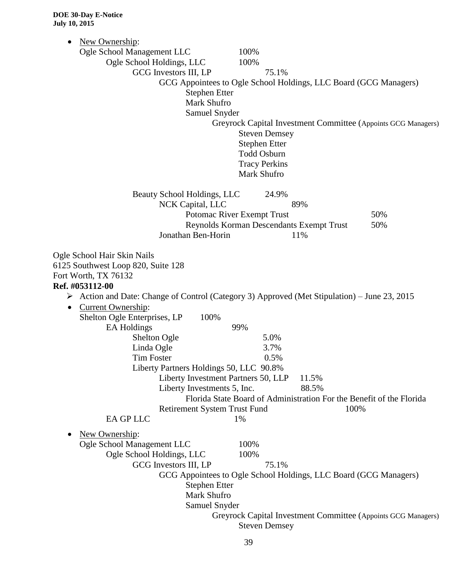| New Ownership:                                                                                                                                                                                                                                                                                                           |                                                                                                                                                                                                                     |
|--------------------------------------------------------------------------------------------------------------------------------------------------------------------------------------------------------------------------------------------------------------------------------------------------------------------------|---------------------------------------------------------------------------------------------------------------------------------------------------------------------------------------------------------------------|
| Ogle School Management LLC                                                                                                                                                                                                                                                                                               | 100%                                                                                                                                                                                                                |
| Ogle School Holdings, LLC                                                                                                                                                                                                                                                                                                | 100%                                                                                                                                                                                                                |
| GCG Investors III, LP                                                                                                                                                                                                                                                                                                    | 75.1%                                                                                                                                                                                                               |
|                                                                                                                                                                                                                                                                                                                          | GCG Appointees to Ogle School Holdings, LLC Board (GCG Managers)                                                                                                                                                    |
| <b>Stephen Etter</b>                                                                                                                                                                                                                                                                                                     |                                                                                                                                                                                                                     |
| Mark Shufro                                                                                                                                                                                                                                                                                                              |                                                                                                                                                                                                                     |
| Samuel Snyder                                                                                                                                                                                                                                                                                                            |                                                                                                                                                                                                                     |
|                                                                                                                                                                                                                                                                                                                          | Greyrock Capital Investment Committee (Appoints GCG Managers)                                                                                                                                                       |
|                                                                                                                                                                                                                                                                                                                          | <b>Steven Demsey</b><br><b>Stephen Etter</b>                                                                                                                                                                        |
|                                                                                                                                                                                                                                                                                                                          | <b>Todd Osburn</b>                                                                                                                                                                                                  |
|                                                                                                                                                                                                                                                                                                                          | <b>Tracy Perkins</b>                                                                                                                                                                                                |
|                                                                                                                                                                                                                                                                                                                          | Mark Shufro                                                                                                                                                                                                         |
|                                                                                                                                                                                                                                                                                                                          |                                                                                                                                                                                                                     |
| Beauty School Holdings, LLC                                                                                                                                                                                                                                                                                              | 24.9%                                                                                                                                                                                                               |
| NCK Capital, LLC                                                                                                                                                                                                                                                                                                         | 89%                                                                                                                                                                                                                 |
|                                                                                                                                                                                                                                                                                                                          | Potomac River Exempt Trust<br>50%                                                                                                                                                                                   |
|                                                                                                                                                                                                                                                                                                                          | Reynolds Korman Descendants Exempt Trust<br>50%                                                                                                                                                                     |
| Jonathan Ben-Horin                                                                                                                                                                                                                                                                                                       | 11%                                                                                                                                                                                                                 |
| Fort Worth, TX 76132<br>Ref. #053112-00<br>➤<br><b>Current Ownership:</b><br>$\bullet$<br>Shelton Ogle Enterprises, LP<br>100%<br><b>EA</b> Holdings<br>Shelton Ogle<br>Linda Ogle<br><b>Tim Foster</b><br>Liberty Partners Holdings 50, LLC 90.8%<br>Liberty Investment Partners 50, LLP<br>Liberty Investments 5, Inc. | Action and Date: Change of Control (Category 3) Approved (Met Stipulation) – June 23, 2015<br>99%<br>5.0%<br>3.7%<br>0.5%<br>11.5%<br>88.5%<br>Florida State Board of Administration For the Benefit of the Florida |
| Retirement System Trust Fund                                                                                                                                                                                                                                                                                             | 100%                                                                                                                                                                                                                |
| EA GP LLC                                                                                                                                                                                                                                                                                                                | 1%                                                                                                                                                                                                                  |
| New Ownership:                                                                                                                                                                                                                                                                                                           |                                                                                                                                                                                                                     |
| Ogle School Management LLC                                                                                                                                                                                                                                                                                               | 100%                                                                                                                                                                                                                |
| Ogle School Holdings, LLC                                                                                                                                                                                                                                                                                                | 100%                                                                                                                                                                                                                |
| GCG Investors III, LP                                                                                                                                                                                                                                                                                                    | 75.1%                                                                                                                                                                                                               |
| <b>Stephen Etter</b>                                                                                                                                                                                                                                                                                                     | GCG Appointees to Ogle School Holdings, LLC Board (GCG Managers)                                                                                                                                                    |
| Mark Shufro                                                                                                                                                                                                                                                                                                              |                                                                                                                                                                                                                     |
| Samuel Snyder                                                                                                                                                                                                                                                                                                            |                                                                                                                                                                                                                     |
|                                                                                                                                                                                                                                                                                                                          | Greyrock Capital Investment Committee (Appoints GCG Managers)                                                                                                                                                       |
|                                                                                                                                                                                                                                                                                                                          | <b>Steven Demsey</b>                                                                                                                                                                                                |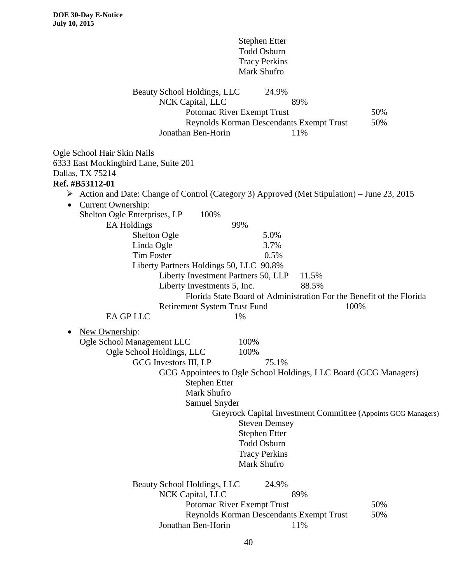Stephen Etter Todd Osburn Tracy Perkins Mark Shufro Beauty School Holdings, LLC 24.9% NCK Capital, LLC 89% Potomac River Exempt Trust 50% Reynolds Korman Descendants Exempt Trust 50% Jonathan Ben-Horin 11% Ogle School Hair Skin Nails 6333 East Mockingbird Lane, Suite 201 Dallas, TX 75214 **Ref. #B53112-01** Action and Date: Change of Control (Category 3) Approved (Met Stipulation) – June 23, 2015 • Current Ownership: Shelton Ogle Enterprises, LP 100% EA Holdings 99% Shelton Ogle 5.0% Linda Ogle 3.7% Tim Foster 0.5% Liberty Partners Holdings 50, LLC 90.8% Liberty Investment Partners 50, LLP 11.5% Liberty Investments 5, Inc. 88.5% Florida State Board of Administration For the Benefit of the Florida Retirement System Trust Fund 100% EA GP LLC 1% • New Ownership: Ogle School Management LLC 100% Ogle School Holdings, LLC 100% GCG Investors III, LP 75.1% GCG Appointees to Ogle School Holdings, LLC Board (GCG Managers) Stephen Etter Mark Shufro Samuel Snyder Greyrock Capital Investment Committee (Appoints GCG Managers) Steven Demsey Stephen Etter Todd Osburn Tracy Perkins Mark Shufro Beauty School Holdings, LLC 24.9% NCK Capital, LLC 89% Potomac River Exempt Trust 50% Reynolds Korman Descendants Exempt Trust 50% Jonathan Ben-Horin 11%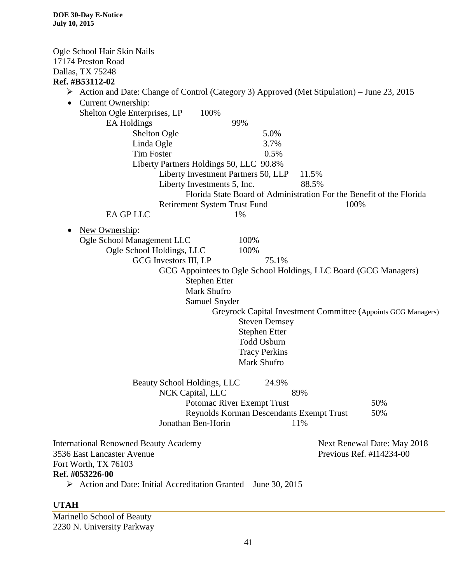Ogle School Hair Skin Nails 17174 Preston Road Dallas, TX 75248 **Ref. #B53112-02** Action and Date: Change of Control (Category 3) Approved (Met Stipulation) – June 23, 2015 • Current Ownership: Shelton Ogle Enterprises, LP 100% EA Holdings 99% Shelton Ogle 5.0% Linda Ogle 3.7% Tim Foster 0.5% Liberty Partners Holdings 50, LLC 90.8% Liberty Investment Partners 50, LLP 11.5% Liberty Investments 5, Inc. 88.5% Florida State Board of Administration For the Benefit of the Florida Retirement System Trust Fund 100% EA GP LLC 1% • New Ownership: Ogle School Management LLC 100% Ogle School Holdings, LLC 100% GCG Investors III, LP 75.1% GCG Appointees to Ogle School Holdings, LLC Board (GCG Managers) Stephen Etter Mark Shufro Samuel Snyder Greyrock Capital Investment Committee (Appoints GCG Managers) Steven Demsey Stephen Etter Todd Osburn Tracy Perkins Mark Shufro Beauty School Holdings, LLC 24.9% NCK Capital, LLC 89% Potomac River Exempt Trust 50% Reynolds Korman Descendants Exempt Trust 50% Jonathan Ben-Horin 11% International Renowned Beauty Academy Next Renewal Date: May 2018 3536 East Lancaster Avenue Previous Ref. #I14234-00 Fort Worth, TX 76103 **Ref. #053226-00**  $\triangleright$  Action and Date: Initial Accreditation Granted – June 30, 2015

#### **UTAH**

Marinello School of Beauty 2230 N. University Parkway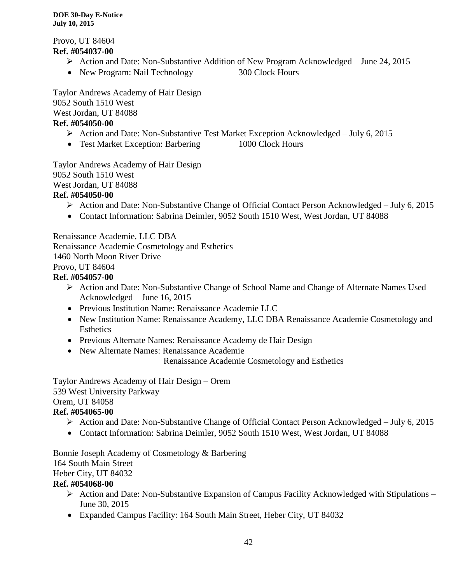Provo, UT 84604 **Ref. #054037-00**

- Action and Date: Non-Substantive Addition of New Program Acknowledged June 24, 2015
- New Program: Nail Technology 300 Clock Hours

Taylor Andrews Academy of Hair Design 9052 South 1510 West West Jordan, UT 84088 **Ref. #054050-00**

- $\triangleright$  Action and Date: Non-Substantive Test Market Exception Acknowledged July 6, 2015
- Test Market Exception: Barbering 1000 Clock Hours

Taylor Andrews Academy of Hair Design 9052 South 1510 West West Jordan, UT 84088 **Ref. #054050-00**

- $\triangleright$  Action and Date: Non-Substantive Change of Official Contact Person Acknowledged July 6, 2015
- Contact Information: Sabrina Deimler, 9052 South 1510 West, West Jordan, UT 84088

Renaissance Academie, LLC DBA Renaissance Academie Cosmetology and Esthetics 1460 North Moon River Drive Provo, UT 84604 **Ref. #054057-00**

- Action and Date: Non-Substantive Change of School Name and Change of Alternate Names Used Acknowledged – June 16, 2015
- Previous Institution Name: Renaissance Academie LLC
- New Institution Name: Renaissance Academy, LLC DBA Renaissance Academie Cosmetology and Esthetics
- Previous Alternate Names: Renaissance Academy de Hair Design
- New Alternate Names: Renaissance Academie

Renaissance Academie Cosmetology and Esthetics

Taylor Andrews Academy of Hair Design – Orem 539 West University Parkway Orem, UT 84058 **Ref. #054065-00**

- Action and Date: Non-Substantive Change of Official Contact Person Acknowledged July 6, 2015
- Contact Information: Sabrina Deimler, 9052 South 1510 West, West Jordan, UT 84088

Bonnie Joseph Academy of Cosmetology & Barbering 164 South Main Street Heber City, UT 84032 **Ref. #054068-00**

- $\triangleright$  Action and Date: Non-Substantive Expansion of Campus Facility Acknowledged with Stipulations June 30, 2015
- Expanded Campus Facility: 164 South Main Street, Heber City, UT 84032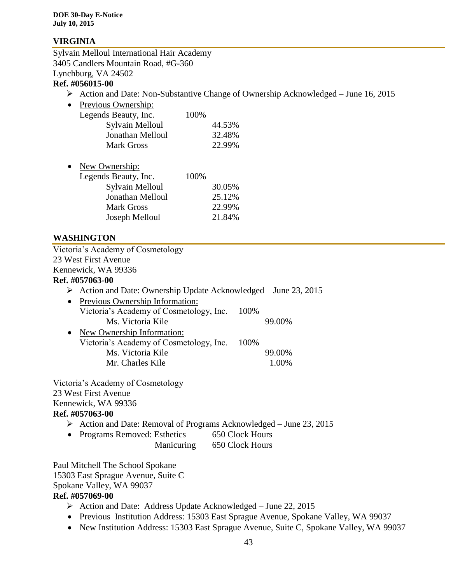#### **VIRGINIA**

Sylvain Melloul International Hair Academy 3405 Candlers Mountain Road, #G-360 Lynchburg, VA 24502

### **Ref. #056015-00**

- $\triangleright$  Action and Date: Non-Substantive Change of Ownership Acknowledged June 16, 2015
- Previous Ownership:

| 100\% |        |
|-------|--------|
|       | 44.53% |
|       | 32.48% |
|       | 22.99% |
|       |        |

• New Ownership:

| Legends Beauty, Inc. | 100% |        |
|----------------------|------|--------|
| Sylvain Melloul      |      | 30.05% |
| Jonathan Melloul     |      | 25.12% |
| <b>Mark Gross</b>    |      | 22.99% |
| Joseph Melloul       |      | 21.84% |
|                      |      |        |

#### **WASHINGTON**

Victoria's Academy of Cosmetology 23 West First Avenue Kennewick, WA 99336 **Ref. #057063-00**  $\triangleright$  Action and Date: Ownership Update Acknowledged – June 23, 2015 • Previous Ownership Information: Victoria's Academy of Cosmetology, Inc. 100% Ms. Victoria Kile 99.00% • New Ownership Information: Victoria's Academy of Cosmetology, Inc. 100% Ms. Victoria Kile 99.00% Mr. Charles Kile 1.00% Victoria's Academy of Cosmetology 23 West First Avenue

Kennewick, WA 99336

# **Ref. #057063-00**

- Action and Date: Removal of Programs Acknowledged June 23, 2015
- Programs Removed: Esthetics 650 Clock Hours
	- Manicuring 650 Clock Hours

Paul Mitchell The School Spokane 15303 East Sprague Avenue, Suite C Spokane Valley, WA 99037

#### **Ref. #057069-00**

- $\triangleright$  Action and Date: Address Update Acknowledged June 22, 2015
- Previous Institution Address: 15303 East Sprague Avenue, Spokane Valley, WA 99037
- New Institution Address: 15303 East Sprague Avenue, Suite C, Spokane Valley, WA 99037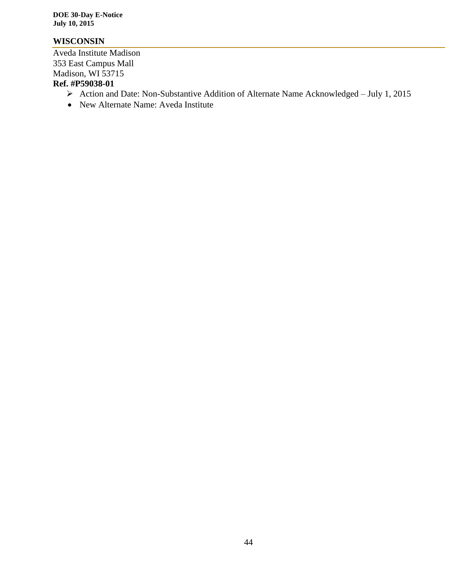#### **WISCONSIN**

Aveda Institute Madison 353 East Campus Mall Madison, WI 53715

# **Ref. #P59038-01**

- Action and Date: Non-Substantive Addition of Alternate Name Acknowledged July 1, 2015
- New Alternate Name: Aveda Institute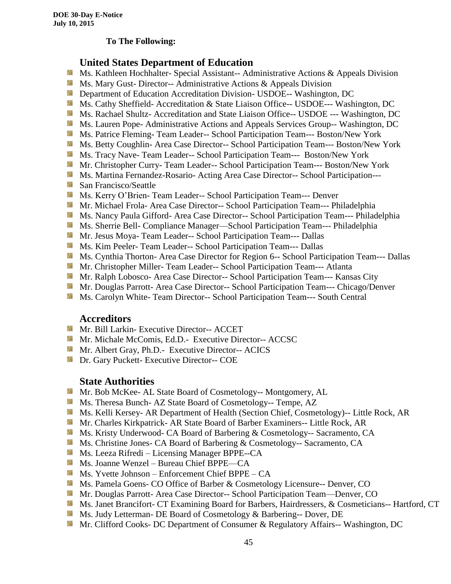#### **To The Following:**

# **United States Department of Education**

- 箥 Ms. Kathleen Hochhalter- Special Assistant-- Administrative Actions & Appeals Division
- **MS.** Ms. Mary Gust-Director-- Administrative Actions & Appeals Division
- **Department of Education Accreditation Division- USDOE-- Washington, DC**
- Ms. Cathy Sheffield- Accreditation & State Liaison Office-- USDOE--- Washington, DC
- **Ms. Rachael Shultz- Accreditation and State Liaison Office-- USDOE --- Washington, DC**
- Ms. Lauren Pope- Administrative Actions and Appeals Services Group-- Washington, DC
- Ms. Patrice Fleming-Team Leader-- School Participation Team--- Boston/New York
- Ms. Betty Coughlin- Area Case Director-- School Participation Team--- Boston/New York
- Ms. Tracy Nave- Team Leader-- School Participation Team--- Boston/New York
- **Mr. Christopher Curry- Team Leader-- School Participation Team--- Boston/New York**
- Ms. Martina Fernandez-Rosario- Acting Area Case Director-- School Participation---
- **San Francisco/Seattle**
- **MS. Kerry O'Brien-Team Leader-- School Participation Team--- Denver**
- **Mr. Michael Frola- Area Case Director-- School Participation Team--- Philadelphia**
- Ms. Nancy Paula Gifford- Area Case Director-- School Participation Team--- Philadelphia
- Ms. Sherrie Bell- Compliance Manager—School Participation Team--- Philadelphia
- **Mr. Jesus Moya- Team Leader-- School Participation Team--- Dallas**
- **MS. Kim Peeler- Team Leader-- School Participation Team--- Dallas**
- **Ms. Cynthia Thorton- Area Case Director for Region 6-- School Participation Team--- Dallas**
- Mr. Christopher Miller- Team Leader-- School Participation Team--- Atlanta
- **Mr. Ralph Lobosco- Area Case Director-- School Participation Team--- Kansas City**
- Mr. Douglas Parrott- Area Case Director-- School Participation Team--- Chicago/Denver
- **Ms. Carolyn White-Team Director-- School Participation Team--- South Central**

#### **Accreditors**

- **Mr. Bill Larkin- Executive Director-- ACCET**
- **Mr. Michale McComis, Ed.D.- Executive Director-- ACCSC**
- Mr. Albert Gray, Ph.D.- Executive Director-- ACICS
- **Dr.** Gary Puckett- Executive Director-- COE

#### **State Authorities**

- **Mr.** Bob McKee- AL State Board of Cosmetology-- Montgomery, AL
- Ms. Theresa Bunch- AZ State Board of Cosmetology-- Tempe, AZ
- Ms. Kelli Kersey- AR Department of Health (Section Chief, Cosmetology)-- Little Rock, AR
- Mr. Charles Kirkpatrick- AR State Board of Barber Examiners-- Little Rock, AR
- Ms. Kristy Underwood- CA Board of Barbering & Cosmetology-- Sacramento, CA
- Ms. Christine Jones- CA Board of Barbering & Cosmetology-- Sacramento, CA
- Ms. Leeza Rifredi Licensing Manager BPPE--CA
- Ms. Joanne Wenzel Bureau Chief BPPE—CA
- Ms. Yvette Johnson Enforcement Chief BPPE CA
- Ms. Pamela Goens- CO Office of Barber & Cosmetology Licensure-- Denver, CO
- Mr. Douglas Parrott- Area Case Director-- School Participation Team—Denver, CO
- Ms. Janet Brancifort- CT Examining Board for Barbers, Hairdressers, & Cosmeticians-- Hartford, CT
- Ms. Judy Letterman- DE Board of Cosmetology & Barbering-- Dover, DE
- Mr. Clifford Cooks- DC Department of Consumer & Regulatory Affairs-- Washington, DC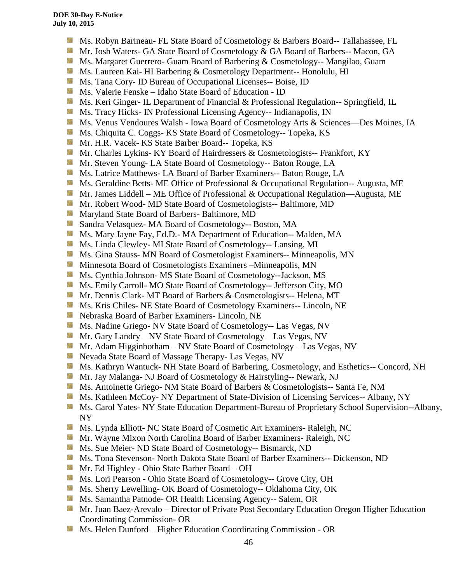- S. Ms. Robyn Barineau- FL State Board of Cosmetology & Barbers Board-- Tallahassee, FL
- Mr. Josh Waters- GA State Board of Cosmetology & GA Board of Barbers-- Macon, GA
- Ms. Margaret Guerrero- Guam Board of Barbering & Cosmetology-- Mangilao, Guam
- **Ms. Laureen Kai- HI Barbering & Cosmetology Department-- Honolulu, HI**
- **Ms.** Tana Cory- ID Bureau of Occupational Licenses-- Boise, ID
- Ms. Valerie Fenske Idaho State Board of Education ID
- **Ms. Keri Ginger- IL Department of Financial & Professional Regulation-- Springfield, IL**
- **Ms.** Tracy Hicks- IN Professional Licensing Agency-- Indianapolis, IN
- Side. Ms. Venus Vendoures Walsh - Iowa Board of Cosmetology Arts & Sciences—Des Moines, IA
- **Ms.** Chiquita C. Coggs- KS State Board of Cosmetology-- Topeka, KS
- Mr. H.R. Vacek- KS State Barber Board-- Topeka, KS
- **Mr. Charles Lykins- KY Board of Hairdressers & Cosmetologists-- Frankfort, KY**
- Mr. Steven Young- LA State Board of Cosmetology-- Baton Rouge, LA
- Ms. Latrice Matthews- LA Board of Barber Examiners-- Baton Rouge, LA
- **Ms.** Geraldine Betts- ME Office of Professional & Occupational Regulation-- Augusta, ME
- Mr. James Liddell ME Office of Professional & Occupational Regulation—Augusta, ME
- **Mr.** Robert Wood- MD State Board of Cosmetologists-- Baltimore, MD
- **Maryland State Board of Barbers- Baltimore, MD**
- Sandra Velasquez- MA Board of Cosmetology-- Boston, MA
- **MS.** Ms. Mary Jayne Fay, Ed.D.- MA Department of Education-- Malden, MA
- **Ms.** Linda Clewley- MI State Board of Cosmetology-- Lansing, MI
- Ms. Gina Stauss- MN Board of Cosmetologist Examiners-- Minneapolis, MN
- **M** Minnesota Board of Cosmetologists Examiners –Minneapolis, MN
- Ms. Cynthia Johnson- MS State Board of Cosmetology--Jackson, MS
- 59 Ms. Emily Carroll- MO State Board of Cosmetology-- Jefferson City, MO
- Mr. Dennis Clark- MT Board of Barbers & Cosmetologists-- Helena, MT
- **Ms. Kris Chiles- NE State Board of Cosmetology Examiners-- Lincoln, NE**
- Nebraska Board of Barber Examiners- Lincoln, NE
- **Ms. Nadine Griego- NV State Board of Cosmetology-- Las Vegas, NV**
- Mr. Gary Landry NV State Board of Cosmetology Las Vegas, NV
- **Mr.** Adam Higginbotham NV State Board of Cosmetology Las Vegas, NV
- **Nevada State Board of Massage Therapy- Las Vegas, NV**
- Ms. Kathryn Wantuck- NH State Board of Barbering, Cosmetology, and Esthetics-- Concord, NH
- Mr. Jay Malanga- NJ Board of Cosmetology & Hairstyling-- Newark, NJ
- Ms. Antoinette Griego- NM State Board of Barbers & Cosmetologists-- Santa Fe, NM
- Ms. Kathleen McCoy- NY Department of State-Division of Licensing Services-- Albany, NY
- **MS. Carol Yates- NY State Education Department-Bureau of Proprietary School Supervision--Albany,** NY
- **Ms. Lynda Elliott- NC State Board of Cosmetic Art Examiners- Raleigh, NC**
- **Mr.** Wayne Mixon North Carolina Board of Barber Examiners- Raleigh, NC
- **MS.** Sue Meier- ND State Board of Cosmetology-- Bismarck, ND
- Ms. Tona Stevenson- North Dakota State Board of Barber Examiners-- Dickenson, ND
- Mr. Ed Highley Ohio State Barber Board OH
- Ms. Lori Pearson Ohio State Board of Cosmetology-- Grove City, OH
- Ms. Sherry Lewelling- OK Board of Cosmetology-- Oklahoma City, OK
- **Ms. Samantha Patnode- OR Health Licensing Agency-- Salem, OR**
- Mr. Juan Baez-Arevalo Director of Private Post Secondary Education Oregon Higher Education Coordinating Commission- OR
- Ms. Helen Dunford Higher Education Coordinating Commission ORS.